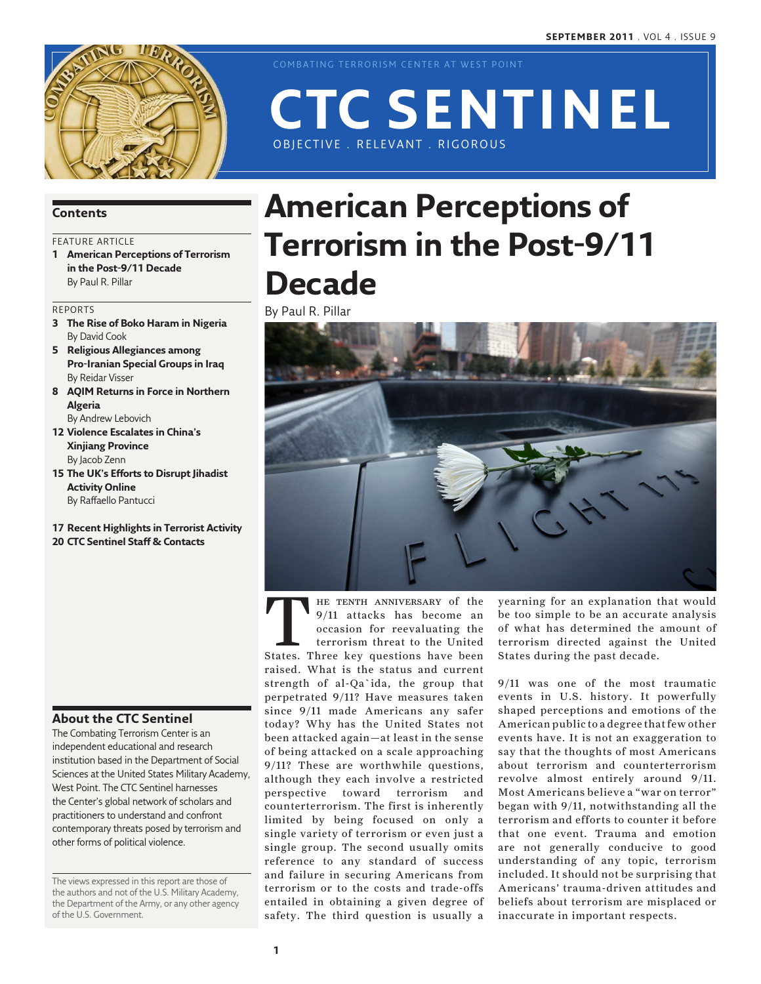

COMBATING TERRORISM CENTER AT WEST POINT

OBJECTIVE . RELEVANT . RIGOROUS

### **Contents**

### FEATURE ARTICLE

**1 American Perceptions of Terrorism in the Post-9/11 Decade** By Paul R. Pillar

#### Reports

- **3 The Rise of Boko Haram in Nigeria** By David Cook
- **5 Religious Allegiances among Pro-Iranian Special Groups in Iraq** By Reidar Visser
- **8 AQIM Returns in Force in Northern Algeria** By Andrew Lebovich
- **12 Violence Escalates in China's Xinjiang Province** By Jacob Zenn
- **15 The UK's Efforts to Disrupt Jihadist Activity Online** By Raffaello Pantucci
- **17 Recent Highlights in Terrorist Activity 20 CTC Sentinel Staff & Contacts**

### **About the CTC Sentinel**

The Combating Terrorism Center is an independent educational and research institution based in the Department of Social Sciences at the United States Military Academy, West Point. The CTC Sentinel harnesses the Center's global network of scholars and practitioners to understand and confront contemporary threats posed by terrorism and other forms of political violence.

The views expressed in this report are those of the authors and not of the U.S. Military Academy, the Department of the Army, or any other agency of the U.S. Government.

# **American Perceptions of Terrorism in the Post-9/11 Decade**

**CTC Sentinel**

By Paul R. Pillar



THE TENTH ANNIVERSARY of the 9/11 attacks has become an occasion for reevaluating the terrorism threat to the United States. Three key questions have been 9/11 attacks has become an occasion for reevaluating the terrorism threat to the United raised. What is the status and current strength of al-Qa`ida, the group that perpetrated 9/11? Have measures taken since 9/11 made Americans any safer today? Why has the United States not been attacked again—at least in the sense of being attacked on a scale approaching 9/11? These are worthwhile questions, although they each involve a restricted perspective toward terrorism and counterterrorism. The first is inherently limited by being focused on only a single variety of terrorism or even just a single group. The second usually omits reference to any standard of success and failure in securing Americans from terrorism or to the costs and trade-offs entailed in obtaining a given degree of safety. The third question is usually a

yearning for an explanation that would be too simple to be an accurate analysis of what has determined the amount of terrorism directed against the United States during the past decade.

9/11 was one of the most traumatic events in U.S. history. It powerfully shaped perceptions and emotions of the American public to a degree that few other events have. It is not an exaggeration to say that the thoughts of most Americans about terrorism and counterterrorism revolve almost entirely around 9/11. Most Americans believe a "war on terror" began with 9/11, notwithstanding all the terrorism and efforts to counter it before that one event. Trauma and emotion are not generally conducive to good understanding of any topic, terrorism included. It should not be surprising that Americans' trauma-driven attitudes and beliefs about terrorism are misplaced or inaccurate in important respects.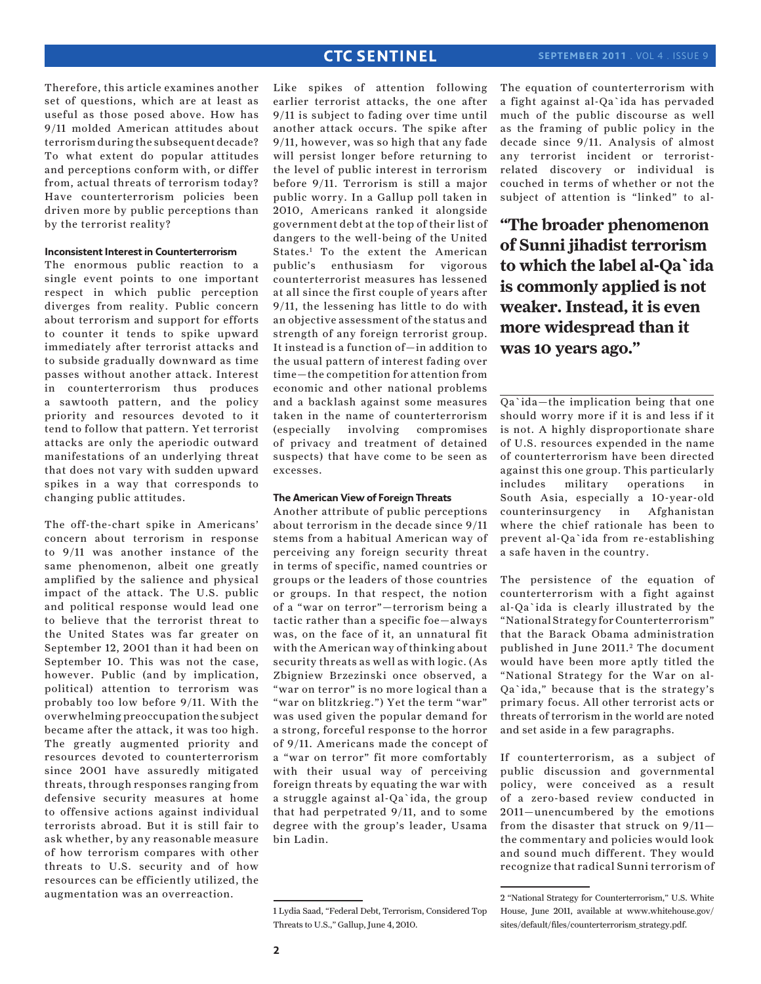Therefore, this article examines another set of questions, which are at least as useful as those posed above. How has 9/11 molded American attitudes about terrorism during the subsequent decade? To what extent do popular attitudes and perceptions conform with, or differ from, actual threats of terrorism today? Have counterterrorism policies been driven more by public perceptions than by the terrorist reality?

#### **Inconsistent Interest in Counterterrorism**

The enormous public reaction to a single event points to one important respect in which public perception diverges from reality. Public concern about terrorism and support for efforts to counter it tends to spike upward immediately after terrorist attacks and to subside gradually downward as time passes without another attack. Interest in counterterrorism thus produces a sawtooth pattern, and the policy priority and resources devoted to it tend to follow that pattern. Yet terrorist attacks are only the aperiodic outward manifestations of an underlying threat that does not vary with sudden upward spikes in a way that corresponds to changing public attitudes.

The off-the-chart spike in Americans' concern about terrorism in response to 9/11 was another instance of the same phenomenon, albeit one greatly amplified by the salience and physical impact of the attack. The U.S. public and political response would lead one to believe that the terrorist threat to the United States was far greater on September 12, 2001 than it had been on September 10. This was not the case, however. Public (and by implication, political) attention to terrorism was probably too low before 9/11. With the overwhelming preoccupation the subject became after the attack, it was too high. The greatly augmented priority and resources devoted to counterterrorism since 2001 have assuredly mitigated threats, through responses ranging from defensive security measures at home to offensive actions against individual terrorists abroad. But it is still fair to ask whether, by any reasonable measure of how terrorism compares with other threats to U.S. security and of how resources can be efficiently utilized, the augmentation was an overreaction.

Like spikes of attention following earlier terrorist attacks, the one after 9/11 is subject to fading over time until another attack occurs. The spike after 9/11, however, was so high that any fade will persist longer before returning to the level of public interest in terrorism before 9/11. Terrorism is still a major public worry. In a Gallup poll taken in 2010, Americans ranked it alongside government debt at the top of their list of dangers to the well-being of the United States.1 To the extent the American public's enthusiasm for vigorous counterterrorist measures has lessened at all since the first couple of years after 9/11, the lessening has little to do with an objective assessment of the status and strength of any foreign terrorist group. It instead is a function of—in addition to the usual pattern of interest fading over time—the competition for attention from economic and other national problems and a backlash against some measures taken in the name of counterterrorism (especially involving compromises of privacy and treatment of detained suspects) that have come to be seen as excesses.

#### **The American View of Foreign Threats**

Another attribute of public perceptions about terrorism in the decade since 9/11 stems from a habitual American way of perceiving any foreign security threat in terms of specific, named countries or groups or the leaders of those countries or groups. In that respect, the notion of a "war on terror"—terrorism being a tactic rather than a specific foe—always was, on the face of it, an unnatural fit with the American way of thinking about security threats as well as with logic. (As Zbigniew Brzezinski once observed, a "war on terror" is no more logical than a "war on blitzkrieg.") Yet the term "war" was used given the popular demand for a strong, forceful response to the horror of 9/11. Americans made the concept of a "war on terror" fit more comfortably with their usual way of perceiving foreign threats by equating the war with a struggle against al-Qa`ida, the group that had perpetrated 9/11, and to some degree with the group's leader, Usama bin Ladin.

1 Lydia Saad, "Federal Debt, Terrorism, Considered Top Threats to U.S.," Gallup, June 4, 2010.

The equation of counterterrorism with a fight against al-Qa`ida has pervaded much of the public discourse as well as the framing of public policy in the decade since 9/11. Analysis of almost any terrorist incident or terroristrelated discovery or individual is couched in terms of whether or not the subject of attention is "linked" to al-

**"The broader phenomenon of Sunni jihadist terrorism to which the label al-Qa`ida is commonly applied is not weaker. Instead, it is even more widespread than it was 10 years ago."**

Qa`ida—the implication being that one should worry more if it is and less if it is not. A highly disproportionate share of U.S. resources expended in the name of counterterrorism have been directed against this one group. This particularly includes military operations in South Asia, especially a 10-year-old counterinsurgency in Afghanistan where the chief rationale has been to prevent al-Qa`ida from re-establishing a safe haven in the country.

The persistence of the equation of counterterrorism with a fight against al-Qa`ida is clearly illustrated by the "National Strategy for Counterterrorism" that the Barack Obama administration published in June 2011.<sup>2</sup> The document would have been more aptly titled the "National Strategy for the War on al-Qa`ida," because that is the strategy's primary focus. All other terrorist acts or threats of terrorism in the world are noted and set aside in a few paragraphs.

If counterterrorism, as a subject of public discussion and governmental policy, were conceived as a result of a zero-based review conducted in 2011—unencumbered by the emotions from the disaster that struck on 9/11 the commentary and policies would look and sound much different. They would recognize that radical Sunni terrorism of

<sup>2 &</sup>quot;National Strategy for Counterterrorism," U.S. White House, June 2011, available at www.whitehouse.gov/ sites/default/files/counterterrorism\_strategy.pdf.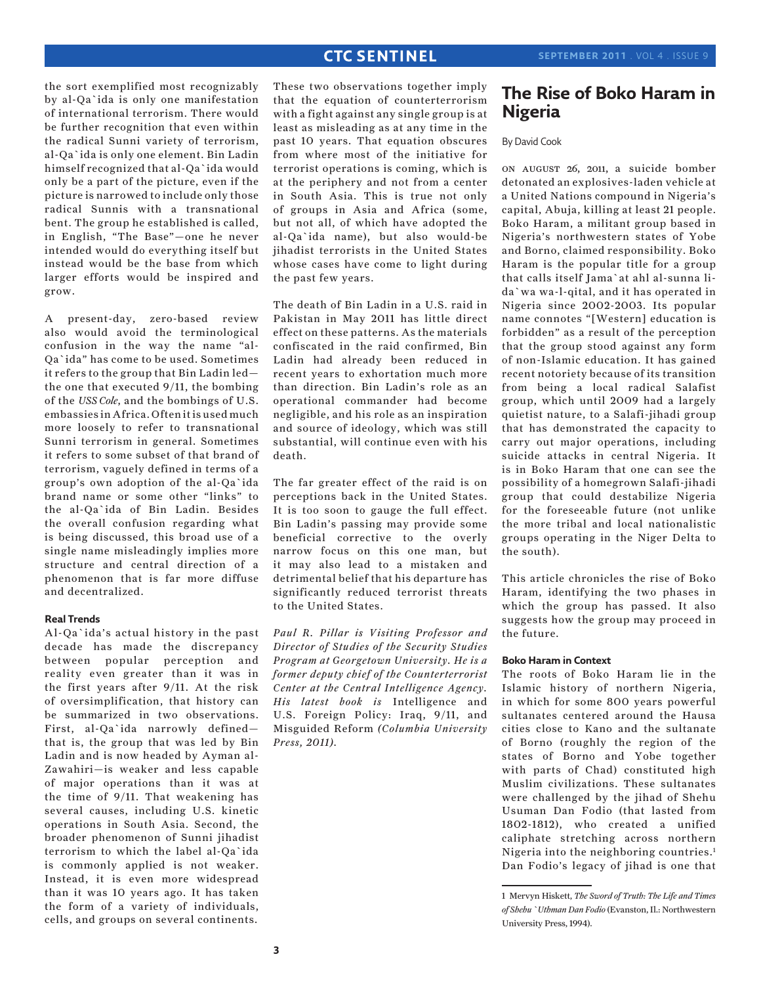the sort exemplified most recognizably by al-Qa`ida is only one manifestation of international terrorism. There would be further recognition that even within the radical Sunni variety of terrorism, al-Qa`ida is only one element. Bin Ladin himself recognized that al-Qa`ida would only be a part of the picture, even if the picture is narrowed to include only those radical Sunnis with a transnational bent. The group he established is called, in English, "The Base"—one he never intended would do everything itself but instead would be the base from which larger efforts would be inspired and grow.

A present-day, zero-based review also would avoid the terminological confusion in the way the name "al-Qa`ida" has come to be used. Sometimes it refers to the group that Bin Ladin led the one that executed 9/11, the bombing of the *USS Cole*, and the bombings of U.S. embassies in Africa. Often it is used much more loosely to refer to transnational Sunni terrorism in general. Sometimes it refers to some subset of that brand of terrorism, vaguely defined in terms of a group's own adoption of the al-Qa`ida brand name or some other "links" to the al-Qa`ida of Bin Ladin. Besides the overall confusion regarding what is being discussed, this broad use of a single name misleadingly implies more structure and central direction of a phenomenon that is far more diffuse and decentralized.

#### **Real Trends**

Al-Qa`ida's actual history in the past decade has made the discrepancy between popular perception and reality even greater than it was in the first years after 9/11. At the risk of oversimplification, that history can be summarized in two observations. First, al-Qa`ida narrowly defined that is, the group that was led by Bin Ladin and is now headed by Ayman al-Zawahiri—is weaker and less capable of major operations than it was at the time of 9/11. That weakening has several causes, including U.S. kinetic operations in South Asia. Second, the broader phenomenon of Sunni jihadist terrorism to which the label al-Qa`ida is commonly applied is not weaker. Instead, it is even more widespread than it was 10 years ago. It has taken the form of a variety of individuals, cells, and groups on several continents.

These two observations together imply that the equation of counterterrorism with a fight against any single group is at least as misleading as at any time in the past 10 years. That equation obscures from where most of the initiative for terrorist operations is coming, which is at the periphery and not from a center in South Asia. This is true not only of groups in Asia and Africa (some, but not all, of which have adopted the al-Qa`ida name), but also would-be jihadist terrorists in the United States whose cases have come to light during the past few years.

The death of Bin Ladin in a U.S. raid in Pakistan in May 2011 has little direct effect on these patterns. As the materials confiscated in the raid confirmed, Bin Ladin had already been reduced in recent years to exhortation much more than direction. Bin Ladin's role as an operational commander had become negligible, and his role as an inspiration and source of ideology, which was still substantial, will continue even with his death.

The far greater effect of the raid is on perceptions back in the United States. It is too soon to gauge the full effect. Bin Ladin's passing may provide some beneficial corrective to the overly narrow focus on this one man, but it may also lead to a mistaken and detrimental belief that his departure has significantly reduced terrorist threats to the United States.

*Paul R. Pillar is Visiting Professor and Director of Studies of the Security Studies Program at Georgetown University. He is a former deputy chief of the Counterterrorist Center at the Central Intelligence Agency. His latest book is* Intelligence and U.S. Foreign Policy: Iraq, 9/11, and Misguided Reform *(Columbia University Press, 2011).*

# **The Rise of Boko Haram in Nigeria**

### By David Cook

on august 26, 2011, a suicide bomber detonated an explosives-laden vehicle at a United Nations compound in Nigeria's capital, Abuja, killing at least 21 people. Boko Haram, a militant group based in Nigeria's northwestern states of Yobe and Borno, claimed responsibility. Boko Haram is the popular title for a group that calls itself Jama`at ahl al-sunna lida`wa wa-l-qital, and it has operated in Nigeria since 2002-2003. Its popular name connotes "[Western] education is forbidden" as a result of the perception that the group stood against any form of non-Islamic education. It has gained recent notoriety because of its transition from being a local radical Salafist group, which until 2009 had a largely quietist nature, to a Salafi-jihadi group that has demonstrated the capacity to carry out major operations, including suicide attacks in central Nigeria. It is in Boko Haram that one can see the possibility of a homegrown Salafi-jihadi group that could destabilize Nigeria for the foreseeable future (not unlike the more tribal and local nationalistic groups operating in the Niger Delta to the south).

This article chronicles the rise of Boko Haram, identifying the two phases in which the group has passed. It also suggests how the group may proceed in the future.

#### **Boko Haram in Context**

The roots of Boko Haram lie in the Islamic history of northern Nigeria, in which for some 800 years powerful sultanates centered around the Hausa cities close to Kano and the sultanate of Borno (roughly the region of the states of Borno and Yobe together with parts of Chad) constituted high Muslim civilizations. These sultanates were challenged by the jihad of Shehu Usuman Dan Fodio (that lasted from 1802-1812), who created a unified caliphate stretching across northern Nigeria into the neighboring countries.1 Dan Fodio's legacy of jihad is one that

<sup>1</sup> Mervyn Hiskett, *The Sword of Truth: The Life and Times of Shehu `Uthman Dan Fodio* (Evanston, Il.: Northwestern University Press, 1994).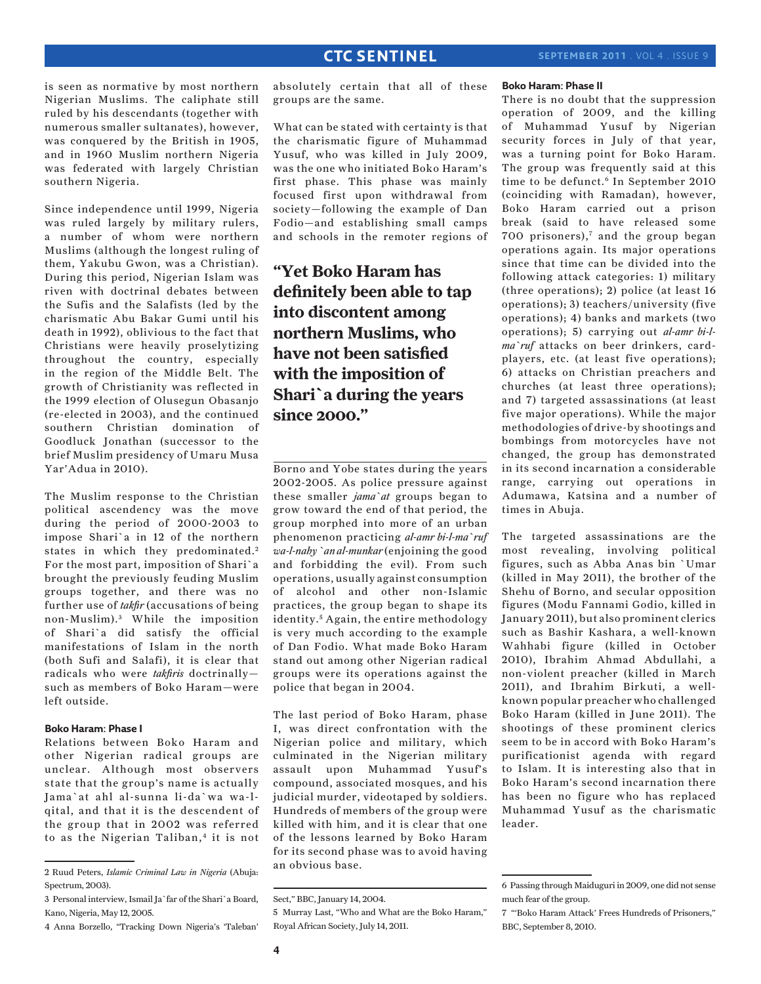is seen as normative by most northern Nigerian Muslims. The caliphate still ruled by his descendants (together with numerous smaller sultanates), however, was conquered by the British in 1905, and in 1960 Muslim northern Nigeria was federated with largely Christian southern Nigeria.

Since independence until 1999, Nigeria was ruled largely by military rulers, a number of whom were northern Muslims (although the longest ruling of them, Yakubu Gwon, was a Christian). During this period, Nigerian Islam was riven with doctrinal debates between the Sufis and the Salafists (led by the charismatic Abu Bakar Gumi until his death in 1992), oblivious to the fact that Christians were heavily proselytizing throughout the country, especially in the region of the Middle Belt. The growth of Christianity was reflected in the 1999 election of Olusegun Obasanjo (re-elected in 2003), and the continued southern Christian domination of Goodluck Jonathan (successor to the brief Muslim presidency of Umaru Musa Yar'Adua in 2010).

The Muslim response to the Christian political ascendency was the move during the period of 2000-2003 to impose Shari`a in 12 of the northern states in which they predominated.<sup>2</sup> For the most part, imposition of Shari`a brought the previously feuding Muslim groups together, and there was no further use of *takfir* (accusations of being non-Muslim). 3 While the imposition of Shari`a did satisfy the official manifestations of Islam in the north (both Sufi and Salafi), it is clear that radicals who were *takfiris* doctrinally such as members of Boko Haram—were left outside.

### **Boko Haram: Phase I**

Relations between Boko Haram and other Nigerian radical groups are unclear. Although most observers state that the group's name is actually Jama`at ahl al-sunna li-da`wa wa-lqital, and that it is the descendent of the group that in 2002 was referred to as the Nigerian Taliban,<sup>4</sup> it is not

4 Anna Borzello, "Tracking Down Nigeria's 'Taleban'

absolutely certain that all of these groups are the same.

What can be stated with certainty is that the charismatic figure of Muhammad Yusuf, who was killed in July 2009, was the one who initiated Boko Haram's first phase. This phase was mainly focused first upon withdrawal from society—following the example of Dan Fodio—and establishing small camps and schools in the remoter regions of

# **"Yet Boko Haram has definitely been able to tap into discontent among northern Muslims, who have not been satisfied with the imposition of Shari`a during the years since 2000."**

Borno and Yobe states during the years 2002-2005. As police pressure against these smaller *jama`at* groups began to grow toward the end of that period, the group morphed into more of an urban phenomenon practicing *al-amr bi-l-ma`ruf wa-l-nahy `an al-munkar* (enjoining the good and forbidding the evil). From such operations, usually against consumption of alcohol and other non-Islamic practices, the group began to shape its identity.<sup>5</sup> Again, the entire methodology is very much according to the example of Dan Fodio. What made Boko Haram stand out among other Nigerian radical groups were its operations against the police that began in 2004.

The last period of Boko Haram, phase I, was direct confrontation with the Nigerian police and military, which culminated in the Nigerian military assault upon Muhammad Yusuf's compound, associated mosques, and his judicial murder, videotaped by soldiers. Hundreds of members of the group were killed with him, and it is clear that one of the lessons learned by Boko Haram for its second phase was to avoid having an obvious base.

#### **Boko Haram: Phase II**

There is no doubt that the suppression operation of 2009, and the killing of Muhammad Yusuf by Nigerian security forces in July of that year, was a turning point for Boko Haram. The group was frequently said at this time to be defunct.<sup>6</sup> In September 2010 (coinciding with Ramadan), however, Boko Haram carried out a prison break (said to have released some 700 prisoners),7 and the group began operations again. Its major operations since that time can be divided into the following attack categories: 1) military (three operations); 2) police (at least 16 operations); 3) teachers/university (five operations); 4) banks and markets (two operations); 5) carrying out *al-amr bi-lma`ruf* attacks on beer drinkers, cardplayers, etc. (at least five operations); 6) attacks on Christian preachers and churches (at least three operations); and 7) targeted assassinations (at least five major operations). While the major methodologies of drive-by shootings and bombings from motorcycles have not changed, the group has demonstrated in its second incarnation a considerable range, carrying out operations in Adumawa, Katsina and a number of times in Abuja.

The targeted assassinations are the most revealing, involving political figures, such as Abba Anas bin `Umar (killed in May 2011), the brother of the Shehu of Borno, and secular opposition figures (Modu Fannami Godio, killed in January 2011), but also prominent clerics such as Bashir Kashara, a well-known Wahhabi figure (killed in October 2010), Ibrahim Ahmad Abdullahi, a non-violent preacher (killed in March 2011), and Ibrahim Birkuti, a wellknown popular preacher who challenged Boko Haram (killed in June 2011). The shootings of these prominent clerics seem to be in accord with Boko Haram's purificationist agenda with regard to Islam. It is interesting also that in Boko Haram's second incarnation there has been no figure who has replaced Muhammad Yusuf as the charismatic leader.

<sup>2</sup> Ruud Peters, *Islamic Criminal Law in Nigeria* (Abuja: Spectrum, 2003).

<sup>3</sup> Personal interview, Ismail Ja`far of the Shari`a Board, Kano, Nigeria, May 12, 2005.

Sect," BBC, January 14, 2004.

<sup>5</sup> Murray Last, "Who and What are the Boko Haram," Royal African Society, July 14, 2011.

<sup>6</sup> Passing through Maiduguri in 2009, one did not sense much fear of the group.

<sup>7 &</sup>quot;'Boko Haram Attack' Frees Hundreds of Prisoners," BBC, September 8, 2010.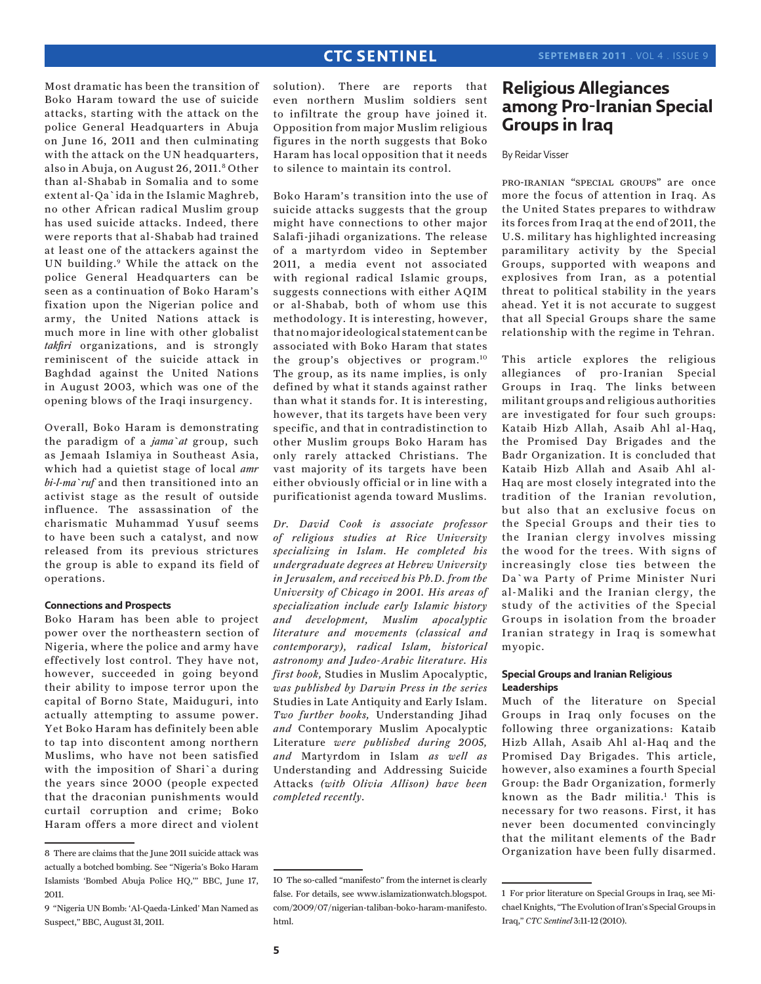Most dramatic has been the transition of Boko Haram toward the use of suicide attacks, starting with the attack on the police General Headquarters in Abuja on June 16, 2011 and then culminating with the attack on the UN headquarters, also in Abuja, on August 26, 2011.<sup>8</sup> Other than al-Shabab in Somalia and to some extent al-Qa`ida in the Islamic Maghreb, no other African radical Muslim group has used suicide attacks. Indeed, there were reports that al-Shabab had trained at least one of the attackers against the UN building.9 While the attack on the police General Headquarters can be seen as a continuation of Boko Haram's fixation upon the Nigerian police and army, the United Nations attack is much more in line with other globalist *takfiri* organizations, and is strongly reminiscent of the suicide attack in Baghdad against the United Nations in August 2003, which was one of the opening blows of the Iraqi insurgency.

Overall, Boko Haram is demonstrating the paradigm of a *jama`at* group, such as Jemaah Islamiya in Southeast Asia, which had a quietist stage of local *amr bi-l-ma`ruf* and then transitioned into an activist stage as the result of outside influence. The assassination of the charismatic Muhammad Yusuf seems to have been such a catalyst, and now released from its previous strictures the group is able to expand its field of operations.

#### **Connections and Prospects**

Boko Haram has been able to project power over the northeastern section of Nigeria, where the police and army have effectively lost control. They have not, however, succeeded in going beyond their ability to impose terror upon the capital of Borno State, Maiduguri, into actually attempting to assume power. Yet Boko Haram has definitely been able to tap into discontent among northern Muslims, who have not been satisfied with the imposition of Shari`a during the years since 2000 (people expected that the draconian punishments would curtail corruption and crime; Boko Haram offers a more direct and violent solution). There are reports that even northern Muslim soldiers sent to infiltrate the group have joined it. Opposition from major Muslim religious figures in the north suggests that Boko Haram has local opposition that it needs to silence to maintain its control.

Boko Haram's transition into the use of suicide attacks suggests that the group might have connections to other major Salafi-jihadi organizations. The release of a martyrdom video in September 2011, a media event not associated with regional radical Islamic groups, suggests connections with either AQIM or al-Shabab, both of whom use this methodology. It is interesting, however, that no major ideological statement can be associated with Boko Haram that states the group's objectives or program.10 The group, as its name implies, is only defined by what it stands against rather than what it stands for. It is interesting, however, that its targets have been very specific, and that in contradistinction to other Muslim groups Boko Haram has only rarely attacked Christians. The vast majority of its targets have been either obviously official or in line with a purificationist agenda toward Muslims.

*Dr. David Cook is associate professor of religious studies at Rice University specializing in Islam. He completed his undergraduate degrees at Hebrew University in Jerusalem, and received his Ph.D. from the University of Chicago in 2001. His areas of specialization include early Islamic history and development, Muslim apocalyptic literature and movements (classical and contemporary), radical Islam, historical astronomy and Judeo-Arabic literature. His first book,* Studies in Muslim Apocalyptic, *was published by Darwin Press in the series* Studies in Late Antiquity and Early Islam. *Two further books,* Understanding Jihad *and* Contemporary Muslim Apocalyptic Literature *were published during 2005, and* Martyrdom in Islam *as well as* Understanding and Addressing Suicide Attacks *(with Olivia Allison) have been completed recently.*

# **Religious Allegiances among Pro-Iranian Special Groups in Iraq**

### By Reidar Visser

pro-iranian "special groups" are once more the focus of attention in Iraq. As the United States prepares to withdraw its forces from Iraq at the end of 2011, the U.S. military has highlighted increasing paramilitary activity by the Special Groups, supported with weapons and explosives from Iran, as a potential threat to political stability in the years ahead. Yet it is not accurate to suggest that all Special Groups share the same relationship with the regime in Tehran.

This article explores the religious allegiances of pro-Iranian Special Groups in Iraq. The links between militant groups and religious authorities are investigated for four such groups: Kataib Hizb Allah, Asaib Ahl al-Haq, the Promised Day Brigades and the Badr Organization. It is concluded that Kataib Hizb Allah and Asaib Ahl al-Haq are most closely integrated into the tradition of the Iranian revolution, but also that an exclusive focus on the Special Groups and their ties to the Iranian clergy involves missing the wood for the trees. With signs of increasingly close ties between the Da`wa Party of Prime Minister Nuri al-Maliki and the Iranian clergy, the study of the activities of the Special Groups in isolation from the broader Iranian strategy in Iraq is somewhat myopic.

### **Special Groups and Iranian Religious Leaderships**

Much of the literature on Special Groups in Iraq only focuses on the following three organizations: Kataib Hizb Allah, Asaib Ahl al-Haq and the Promised Day Brigades. This article, however, also examines a fourth Special Group: the Badr Organization, formerly known as the Badr militia.1 This is necessary for two reasons. First, it has never been documented convincingly that the militant elements of the Badr Organization have been fully disarmed.

<sup>8</sup> There are claims that the June 2011 suicide attack was actually a botched bombing. See "Nigeria's Boko Haram Islamists 'Bombed Abuja Police HQ,'" BBC, June 17, 2011.

<sup>9 &</sup>quot;Nigeria UN Bomb: 'Al-Qaeda-Linked' Man Named as Suspect," BBC, August 31, 2011.

<sup>10</sup> The so-called "manifesto" from the internet is clearly false. For details, see www.islamizationwatch.blogspot. com/2009/07/nigerian-taliban-boko-haram-manifesto. html.

<sup>1</sup> For prior literature on Special Groups in Iraq, see Michael Knights, "The Evolution of Iran's Special Groups in Iraq," *CTC Sentinel* 3:11-12 (2010).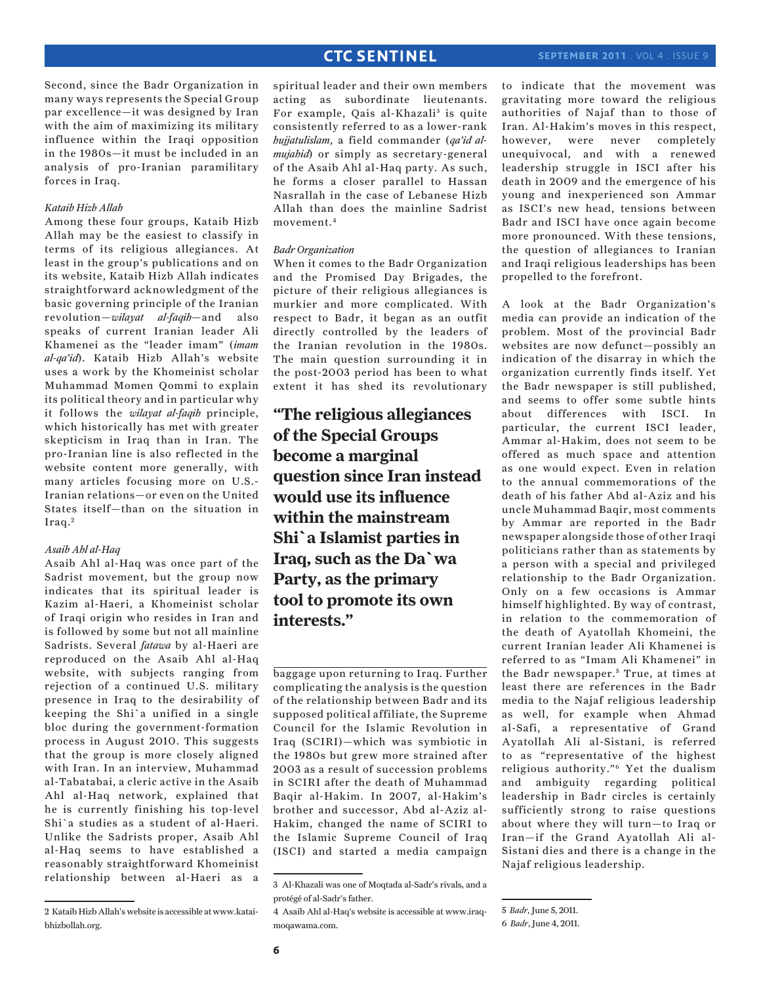Second, since the Badr Organization in many ways represents the Special Group par excellence—it was designed by Iran with the aim of maximizing its military influence within the Iraqi opposition in the 1980s—it must be included in an analysis of pro-Iranian paramilitary forces in Iraq.

### *Kataib Hizb Allah*

Among these four groups, Kataib Hizb Allah may be the easiest to classify in terms of its religious allegiances. At least in the group's publications and on its website, Kataib Hizb Allah indicates straightforward acknowledgment of the basic governing principle of the Iranian revolution—*wilayat al-faqih*—and also speaks of current Iranian leader Ali Khamenei as the "leader imam" (*imam al-qa'id*). Kataib Hizb Allah's website uses a work by the Khomeinist scholar Muhammad Momen Qommi to explain its political theory and in particular why it follows the *wilayat al-faqih* principle, which historically has met with greater skepticism in Iraq than in Iran. The pro-Iranian line is also reflected in the website content more generally, with many articles focusing more on U.S.- Iranian relations—or even on the United States itself—than on the situation in Iraq.<sup>2</sup>

#### *Asaib Ahl al-Haq*

Asaib Ahl al-Haq was once part of the Sadrist movement, but the group now indicates that its spiritual leader is Kazim al-Haeri, a Khomeinist scholar of Iraqi origin who resides in Iran and is followed by some but not all mainline Sadrists. Several *fatawa* by al-Haeri are reproduced on the Asaib Ahl al-Haq website, with subjects ranging from rejection of a continued U.S. military presence in Iraq to the desirability of keeping the Shi`a unified in a single bloc during the government-formation process in August 2010. This suggests that the group is more closely aligned with Iran. In an interview, Muhammad al-Tabatabai, a cleric active in the Asaib Ahl al-Haq network, explained that he is currently finishing his top-level Shi`a studies as a student of al-Haeri. Unlike the Sadrists proper, Asaib Ahl al-Haq seems to have established a reasonably straightforward Khomeinist relationship between al-Haeri as a spiritual leader and their own members acting as subordinate lieutenants. For example, Qais al-Khazali<sup>3</sup> is quite consistently referred to as a lower-rank *hujjatulislam*, a field commander (*qa'id almujahid*) or simply as secretary-general of the Asaib Ahl al-Haq party. As such, he forms a closer parallel to Hassan Nasrallah in the case of Lebanese Hizb Allah than does the mainline Sadrist movement.4

#### *Badr Organization*

When it comes to the Badr Organization and the Promised Day Brigades, the picture of their religious allegiances is murkier and more complicated. With respect to Badr, it began as an outfit directly controlled by the leaders of the Iranian revolution in the 1980s. The main question surrounding it in the post-2003 period has been to what extent it has shed its revolutionary

**"The religious allegiances of the Special Groups become a marginal question since Iran instead would use its influence within the mainstream Shi`a Islamist parties in Iraq, such as the Da`wa Party, as the primary tool to promote its own interests."**

baggage upon returning to Iraq. Further complicating the analysis is the question of the relationship between Badr and its supposed political affiliate, the Supreme Council for the Islamic Revolution in Iraq (SCIRI)—which was symbiotic in the 1980s but grew more strained after 2003 as a result of succession problems in SCIRI after the death of Muhammad Baqir al-Hakim. In 2007, al-Hakim's brother and successor, Abd al-Aziz al-Hakim, changed the name of SCIRI to the Islamic Supreme Council of Iraq (ISCI) and started a media campaign to indicate that the movement was gravitating more toward the religious authorities of Najaf than to those of Iran. Al-Hakim's moves in this respect, however, were never completely unequivocal, and with a renewed leadership struggle in ISCI after his death in 2009 and the emergence of his young and inexperienced son Ammar as ISCI's new head, tensions between Badr and ISCI have once again become more pronounced. With these tensions, the question of allegiances to Iranian and Iraqi religious leaderships has been propelled to the forefront.

A look at the Badr Organization's media can provide an indication of the problem. Most of the provincial Badr websites are now defunct—possibly an indication of the disarray in which the organization currently finds itself. Yet the Badr newspaper is still published, and seems to offer some subtle hints about differences with ISCI. In particular, the current ISCI leader, Ammar al-Hakim, does not seem to be offered as much space and attention as one would expect. Even in relation to the annual commemorations of the death of his father Abd al-Aziz and his uncle Muhammad Baqir, most comments by Ammar are reported in the Badr newspaper alongside those of other Iraqi politicians rather than as statements by a person with a special and privileged relationship to the Badr Organization. Only on a few occasions is Ammar himself highlighted. By way of contrast, in relation to the commemoration of the death of Ayatollah Khomeini, the current Iranian leader Ali Khamenei is referred to as "Imam Ali Khamenei" in the Badr newspaper.<sup>5</sup> True, at times at least there are references in the Badr media to the Najaf religious leadership as well, for example when Ahmad al-Safi, a representative of Grand Ayatollah Ali al-Sistani, is referred to as "representative of the highest religious authority."6 Yet the dualism and ambiguity regarding political leadership in Badr circles is certainly sufficiently strong to raise questions about where they will turn—to Iraq or Iran—if the Grand Ayatollah Ali al-Sistani dies and there is a change in the Najaf religious leadership.

<sup>2</sup> Kataib Hizb Allah's website is accessible at www.kataibhizbollah.org.

<sup>3</sup> Al-Khazali was one of Moqtada al-Sadr's rivals, and a protégé of al-Sadr's father.

<sup>4</sup> Asaib Ahl al-Haq's website is accessible at www.iraqmoqawama.com.

<sup>5</sup> *Badr*, June 5, 2011.

<sup>6</sup> *Badr*, June 4, 2011.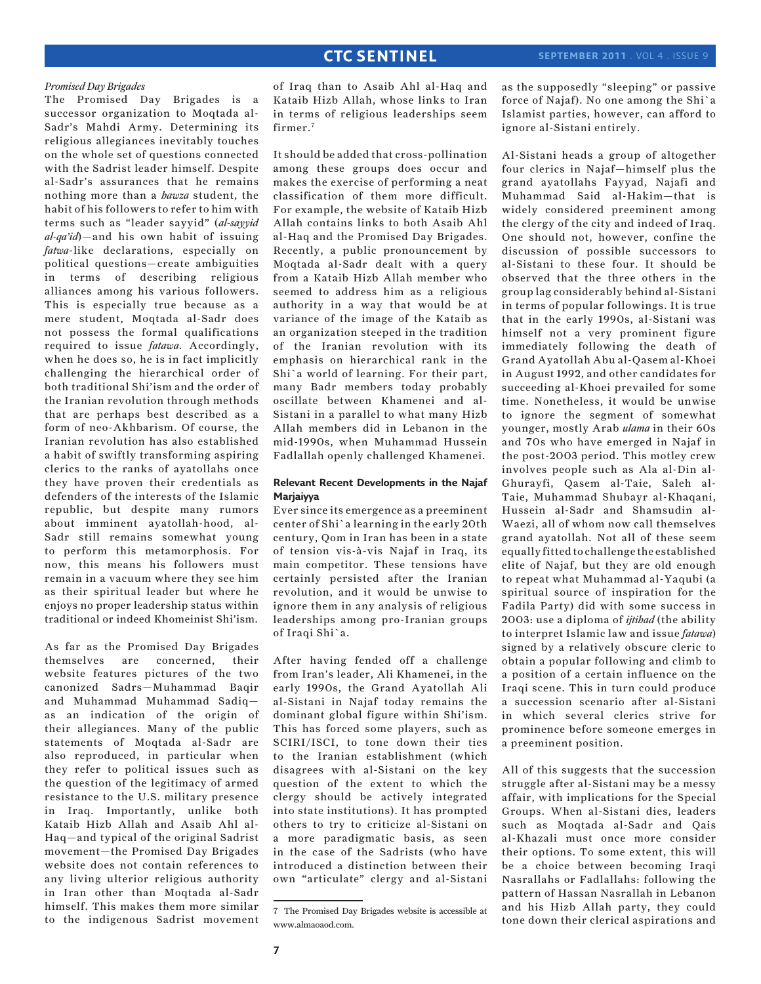#### *Promised Day Brigades*

The Promised Day Brigades is a successor organization to Moqtada al-Sadr's Mahdi Army. Determining its religious allegiances inevitably touches on the whole set of questions connected with the Sadrist leader himself. Despite al-Sadr's assurances that he remains nothing more than a *hawza* student, the habit of his followers to refer to him with terms such as "leader sayyid" (*al-sayyid al-qa'id*)—and his own habit of issuing *fatwa*-like declarations, especially on political questions—create ambiguities in terms of describing religious alliances among his various followers. This is especially true because as a mere student, Moqtada al-Sadr does not possess the formal qualifications required to issue *fatawa*. Accordingly, when he does so, he is in fact implicitly challenging the hierarchical order of both traditional Shi'ism and the order of the Iranian revolution through methods that are perhaps best described as a form of neo-Akhbarism. Of course, the Iranian revolution has also established a habit of swiftly transforming aspiring clerics to the ranks of ayatollahs once they have proven their credentials as defenders of the interests of the Islamic republic, but despite many rumors about imminent ayatollah-hood, al-Sadr still remains somewhat young to perform this metamorphosis. For now, this means his followers must remain in a vacuum where they see him as their spiritual leader but where he enjoys no proper leadership status within traditional or indeed Khomeinist Shi'ism.

As far as the Promised Day Brigades themselves are concerned, their website features pictures of the two canonized Sadrs—Muhammad Baqir and Muhammad Muhammad Sadiq as an indication of the origin of their allegiances. Many of the public statements of Moqtada al-Sadr are also reproduced, in particular when they refer to political issues such as the question of the legitimacy of armed resistance to the U.S. military presence in Iraq. Importantly, unlike both Kataib Hizb Allah and Asaib Ahl al-Haq—and typical of the original Sadrist movement—the Promised Day Brigades website does not contain references to any living ulterior religious authority in Iran other than Moqtada al-Sadr himself. This makes them more similar to the indigenous Sadrist movement

of Iraq than to Asaib Ahl al-Haq and Kataib Hizb Allah, whose links to Iran in terms of religious leaderships seem firmer.<sup>7</sup>

It should be added that cross-pollination among these groups does occur and makes the exercise of performing a neat classification of them more difficult. For example, the website of Kataib Hizb Allah contains links to both Asaib Ahl al-Haq and the Promised Day Brigades. Recently, a public pronouncement by Moqtada al-Sadr dealt with a query from a Kataib Hizb Allah member who seemed to address him as a religious authority in a way that would be at variance of the image of the Kataib as an organization steeped in the tradition of the Iranian revolution with its emphasis on hierarchical rank in the Shi`a world of learning. For their part, many Badr members today probably oscillate between Khamenei and al-Sistani in a parallel to what many Hizb Allah members did in Lebanon in the mid-1990s, when Muhammad Hussein Fadlallah openly challenged Khamenei.

### **Relevant Recent Developments in the Najaf Marjaiyya**

Ever since its emergence as a preeminent center of Shi`a learning in the early 20th century, Qom in Iran has been in a state of tension vis-à-vis Najaf in Iraq, its main competitor. These tensions have certainly persisted after the Iranian revolution, and it would be unwise to ignore them in any analysis of religious leaderships among pro-Iranian groups of Iraqi Shi`a.

After having fended off a challenge from Iran's leader, Ali Khamenei, in the early 1990s, the Grand Ayatollah Ali al-Sistani in Najaf today remains the dominant global figure within Shi'ism. This has forced some players, such as SCIRI/ISCI, to tone down their ties to the Iranian establishment (which disagrees with al-Sistani on the key question of the extent to which the clergy should be actively integrated into state institutions). It has prompted others to try to criticize al-Sistani on a more paradigmatic basis, as seen in the case of the Sadrists (who have introduced a distinction between their own "articulate" clergy and al-Sistani as the supposedly "sleeping" or passive force of Najaf). No one among the Shi`a Islamist parties, however, can afford to ignore al-Sistani entirely.

Al-Sistani heads a group of altogether four clerics in Najaf—himself plus the grand ayatollahs Fayyad, Najafi and Muhammad Said al-Hakim—that is widely considered preeminent among the clergy of the city and indeed of Iraq. One should not, however, confine the discussion of possible successors to al-Sistani to these four. It should be observed that the three others in the group lag considerably behind al-Sistani in terms of popular followings. It is true that in the early 1990s, al-Sistani was himself not a very prominent figure immediately following the death of Grand Ayatollah Abu al-Qasem al-Khoei in August 1992, and other candidates for succeeding al-Khoei prevailed for some time. Nonetheless, it would be unwise to ignore the segment of somewhat younger, mostly Arab *ulama* in their 60s and 70s who have emerged in Najaf in the post-2003 period. This motley crew involves people such as Ala al-Din al-Ghurayfi, Qasem al-Taie, Saleh al-Taie, Muhammad Shubayr al-Khaqani, Hussein al-Sadr and Shamsudin al-Waezi, all of whom now call themselves grand ayatollah. Not all of these seem equally fitted to challenge the established elite of Najaf, but they are old enough to repeat what Muhammad al-Yaqubi (a spiritual source of inspiration for the Fadila Party) did with some success in 2003: use a diploma of *ijtihad* (the ability to interpret Islamic law and issue *fatawa*) signed by a relatively obscure cleric to obtain a popular following and climb to a position of a certain influence on the Iraqi scene. This in turn could produce a succession scenario after al-Sistani in which several clerics strive for prominence before someone emerges in a preeminent position.

All of this suggests that the succession struggle after al-Sistani may be a messy affair, with implications for the Special Groups. When al-Sistani dies, leaders such as Moqtada al-Sadr and Qais al-Khazali must once more consider their options. To some extent, this will be a choice between becoming Iraqi Nasrallahs or Fadlallahs: following the pattern of Hassan Nasrallah in Lebanon and his Hizb Allah party, they could tone down their clerical aspirations and

<sup>7</sup> The Promised Day Brigades website is accessible at www.almaoaod.com.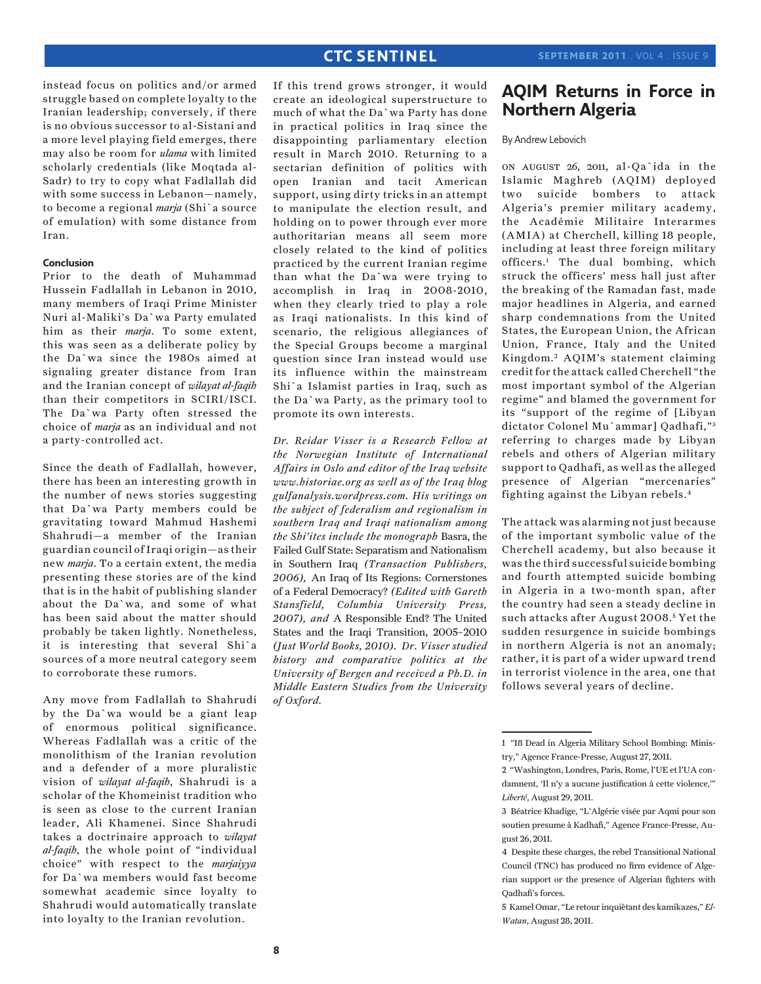instead focus on politics and/or armed struggle based on complete loyalty to the Iranian leadership; conversely, if there is no obvious successor to al-Sistani and a more level playing field emerges, there may also be room for *ulama* with limited scholarly credentials (like Moqtada al-Sadr) to try to copy what Fadlallah did with some success in Lebanon—namely, to become a regional *marja* (Shi`a source of emulation) with some distance from Iran.

#### **Conclusion**

Prior to the death of Muhammad Hussein Fadlallah in Lebanon in 2010, many members of Iraqi Prime Minister Nuri al-Maliki's Da`wa Party emulated him as their *marja*. To some extent, this was seen as a deliberate policy by the Da`wa since the 1980s aimed at signaling greater distance from Iran and the Iranian concept of *wilayat al-faqih* than their competitors in SCIRI/ISCI. The Da`wa Party often stressed the choice of *marja* as an individual and not a party-controlled act.

Since the death of Fadlallah, however, there has been an interesting growth in the number of news stories suggesting that Da`wa Party members could be gravitating toward Mahmud Hashemi Shahrudi—a member of the Iranian guardian council of Iraqi origin—as their new *marja*. To a certain extent, the media presenting these stories are of the kind that is in the habit of publishing slander about the Da`wa, and some of what has been said about the matter should probably be taken lightly. Nonetheless, it is interesting that several Shi`a sources of a more neutral category seem to corroborate these rumors.

Any move from Fadlallah to Shahrudi by the Da`wa would be a giant leap of enormous political significance. Whereas Fadlallah was a critic of the monolithism of the Iranian revolution and a defender of a more pluralistic vision of *wilayat al-faqih*, Shahrudi is a scholar of the Khomeinist tradition who is seen as close to the current Iranian leader, Ali Khamenei. Since Shahrudi takes a doctrinaire approach to *wilayat al-faqih*, the whole point of "individual choice" with respect to the *marjaiyya*  for Da`wa members would fast become somewhat academic since loyalty to Shahrudi would automatically translate into loyalty to the Iranian revolution.

If this trend grows stronger, it would create an ideological superstructure to much of what the Da`wa Party has done in practical politics in Iraq since the disappointing parliamentary election result in March 2010. Returning to a sectarian definition of politics with open Iranian and tacit American support, using dirty tricks in an attempt to manipulate the election result, and holding on to power through ever more authoritarian means all seem more closely related to the kind of politics practiced by the current Iranian regime than what the Da`wa were trying to accomplish in Iraq in 2008-2010, when they clearly tried to play a role as Iraqi nationalists. In this kind of scenario, the religious allegiances of the Special Groups become a marginal question since Iran instead would use its influence within the mainstream Shi`a Islamist parties in Iraq, such as the Da`wa Party, as the primary tool to promote its own interests.

*Dr. Reidar Visser is a Research Fellow at the Norwegian Institute of International Affairs in Oslo and editor of the Iraq website www.historiae.org as well as of the Iraq blog gulfanalysis.wordpress.com. His writings on the subject of federalism and regionalism in southern Iraq and Iraqi nationalism among the Shi'ites include the monograph* Basra, the Failed Gulf State: Separatism and Nationalism in Southern Iraq *(Transaction Publishers, 2006),* An Iraq of Its Regions: Cornerstones of a Federal Democracy? *(Edited with Gareth Stansfield, Columbia University Press, 2007), and* A Responsible End? The United States and the Iraqi Transition, 2005–2010 *(Just World Books, 2010). Dr. Visser studied history and comparative politics at the University of Bergen and received a Ph.D. in Middle Eastern Studies from the University of Oxford.*

# **AQIM Returns in Force in Northern Algeria**

By Andrew Lebovich

on august 26, 2011, al-Qa`ida in the Islamic Maghreb (AQIM) deployed two suicide bombers to attack Algeria's premier military academy, the Académie Militaire Interarmes (AMIA) at Cherchell, killing 18 people, including at least three foreign military officers.1 The dual bombing, which struck the officers' mess hall just after the breaking of the Ramadan fast, made major headlines in Algeria, and earned sharp condemnations from the United States, the European Union, the African Union, France, Italy and the United Kingdom. 2 AQIM's statement claiming credit for the attack called Cherchell "the most important symbol of the Algerian regime" and blamed the government for its "support of the regime of [Libyan dictator Colonel Mu`ammar] Qadhafi,"3 referring to charges made by Libyan rebels and others of Algerian military support to Qadhafi, as well as the alleged presence of Algerian "mercenaries" fighting against the Libyan rebels.4

The attack was alarming not just because of the important symbolic value of the Cherchell academy, but also because it was the third successful suicide bombing and fourth attempted suicide bombing in Algeria in a two-month span, after the country had seen a steady decline in such attacks after August 2008.<sup>5</sup> Yet the sudden resurgence in suicide bombings in northern Algeria is not an anomaly; rather, it is part of a wider upward trend in terrorist violence in the area, one that follows several years of decline.

<sup>1 &</sup>quot;18 Dead in Algeria Military School Bombing: Ministry," Agence France-Presse, August 27, 2011.

<sup>2 &</sup>quot;Washington, Londres, Paris, Rome, l'UE et l'UA condamnent, 'Il n'y a aucune justification à cette violence,'" *Liberté*, August 29, 2011.

<sup>3</sup> Béatrice Khadige, "L'Algérie visée par Aqmi pour son soutien presume à Kadhafi," Agence France-Presse, August 26, 2011.

<sup>4</sup> Despite these charges, the rebel Transitional National Council (TNC) has produced no firm evidence of Algerian support or the presence of Algerian fighters with Qadhafi's forces.

<sup>5</sup> Kamel Omar, "Le retour inquiètant des kamikazes," *El-Watan*, August 28, 2011.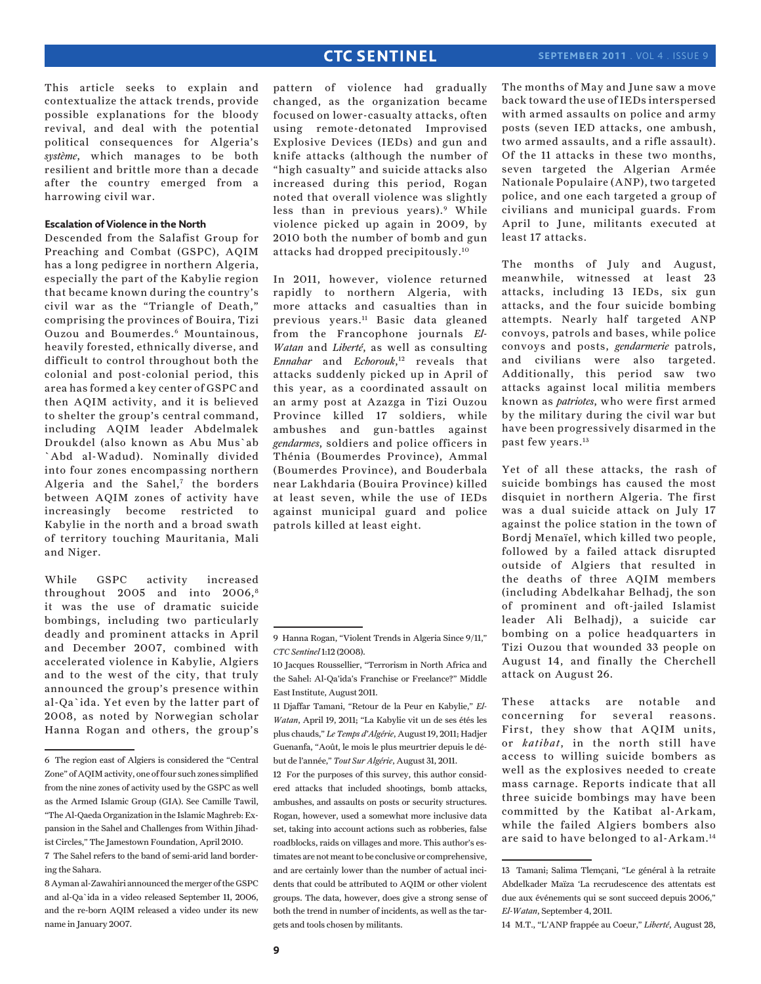This article seeks to explain and contextualize the attack trends, provide possible explanations for the bloody revival, and deal with the potential political consequences for Algeria's *système*, which manages to be both resilient and brittle more than a decade after the country emerged from a harrowing civil war.

### **Escalation of Violence in the North**

Descended from the Salafist Group for Preaching and Combat (GSPC), AQIM has a long pedigree in northern Algeria, especially the part of the Kabylie region that became known during the country's civil war as the "Triangle of Death," comprising the provinces of Bouira, Tizi Ouzou and Boumerdes.6 Mountainous, heavily forested, ethnically diverse, and difficult to control throughout both the colonial and post-colonial period, this area has formed a key center of GSPC and then AQIM activity, and it is believed to shelter the group's central command, including AQIM leader Abdelmalek Droukdel (also known as Abu Mus`ab `Abd al-Wadud). Nominally divided into four zones encompassing northern Algeria and the Sahel,7 the borders between AQIM zones of activity have increasingly become restricted to Kabylie in the north and a broad swath of territory touching Mauritania, Mali and Niger.

While GSPC activity increased throughout 2005 and into 2006,8 it was the use of dramatic suicide bombings, including two particularly deadly and prominent attacks in April and December 2007, combined with accelerated violence in Kabylie, Algiers and to the west of the city, that truly announced the group's presence within al-Qa`ida. Yet even by the latter part of 2008, as noted by Norwegian scholar Hanna Rogan and others, the group's

pattern of violence had gradually changed, as the organization became focused on lower-casualty attacks, often using remote-detonated Improvised Explosive Devices (IEDs) and gun and knife attacks (although the number of "high casualty" and suicide attacks also increased during this period, Rogan noted that overall violence was slightly less than in previous years).<sup>9</sup> While violence picked up again in 2009, by 2010 both the number of bomb and gun attacks had dropped precipitously.10

In 2011, however, violence returned rapidly to northern Algeria, with more attacks and casualties than in previous years.11 Basic data gleaned from the Francophone journals *El-Watan* and *Liberté*, as well as consulting *Ennahar* and *Echorouk*, 12 reveals that attacks suddenly picked up in April of this year, as a coordinated assault on an army post at Azazga in Tizi Ouzou Province killed 17 soldiers, while ambushes and gun-battles against *gendarmes*, soldiers and police officers in Thénia (Boumerdes Province), Ammal (Boumerdes Province), and Bouderbala near Lakhdaria (Bouira Province) killed at least seven, while the use of IEDs against municipal guard and police patrols killed at least eight.

12 For the purposes of this survey, this author considered attacks that included shootings, bomb attacks, ambushes, and assaults on posts or security structures. Rogan, however, used a somewhat more inclusive data set, taking into account actions such as robberies, false roadblocks, raids on villages and more. This author's estimates are not meant to be conclusive or comprehensive, and are certainly lower than the number of actual incidents that could be attributed to AQIM or other violent groups. The data, however, does give a strong sense of both the trend in number of incidents, as well as the targets and tools chosen by militants.

The months of May and June saw a move back toward the use of IEDs interspersed with armed assaults on police and army posts (seven IED attacks, one ambush, two armed assaults, and a rifle assault). Of the 11 attacks in these two months, seven targeted the Algerian Armée Nationale Populaire (ANP), two targeted police, and one each targeted a group of civilians and municipal guards. From April to June, militants executed at least 17 attacks.

The months of July and August, meanwhile, witnessed at least 23 attacks, including 13 IEDs, six gun attacks, and the four suicide bombing attempts. Nearly half targeted ANP convoys, patrols and bases, while police convoys and posts, *gendarmerie* patrols, and civilians were also targeted. Additionally, this period saw two attacks against local militia members known as *patriotes*, who were first armed by the military during the civil war but have been progressively disarmed in the past few years.13

Yet of all these attacks, the rash of suicide bombings has caused the most disquiet in northern Algeria. The first was a dual suicide attack on July 17 against the police station in the town of Bordj Menaïel, which killed two people, followed by a failed attack disrupted outside of Algiers that resulted in the deaths of three AQIM members (including Abdelkahar Belhadj, the son of prominent and oft-jailed Islamist leader Ali Belhadj), a suicide car bombing on a police headquarters in Tizi Ouzou that wounded 33 people on August 14, and finally the Cherchell attack on August 26.

These attacks are notable and concerning for several reasons. First, they show that AQIM units, or *katibat*, in the north still have access to willing suicide bombers as well as the explosives needed to create mass carnage. Reports indicate that all three suicide bombings may have been committed by the Katibat al-Arkam, while the failed Algiers bombers also are said to have belonged to al-Arkam.14

<sup>6</sup> The region east of Algiers is considered the "Central Zone" of AQIM activity, one of four such zones simplified from the nine zones of activity used by the GSPC as well as the Armed Islamic Group (GIA). See Camille Tawil, "The Al-Qaeda Organization in the Islamic Maghreb: Expansion in the Sahel and Challenges from Within Jihadist Circles," The Jamestown Foundation, April 2010.

<sup>7</sup> The Sahel refers to the band of semi-arid land bordering the Sahara.

<sup>8</sup> Ayman al-Zawahiri announced the merger of the GSPC and al-Qa`ida in a video released September 11, 2006, and the re-born AQIM released a video under its new name in January 2007.

<sup>9</sup> Hanna Rogan, "Violent Trends in Algeria Since 9/11," *CTC Sentinel* 1:12 (2008).

<sup>10</sup> Jacques Roussellier, "Terrorism in North Africa and the Sahel: Al-Qa'ida's Franchise or Freelance?" Middle East Institute, August 2011.

<sup>11</sup> Djaffar Tamani, "Retour de la Peur en Kabylie," *El-Watan*, April 19, 2011; "La Kabylie vit un de ses étés les plus chauds," *Le Temps d'Algérie*, August 19, 2011; Hadjer Guenanfa, "Août, le mois le plus meurtrier depuis le début de l'année," *Tout Sur Algérie*, August 31, 2011.

<sup>13</sup> Tamani; Salima Tlemçani, "Le général à la retraite Abdelkader Maïza 'La recrudescence des attentats est due aux événements qui se sont succeed depuis 2006," *El-Watan*, September 4, 2011.

<sup>14</sup> M.T., "L'ANP frappée au Coeur," *Liberté*, August 28,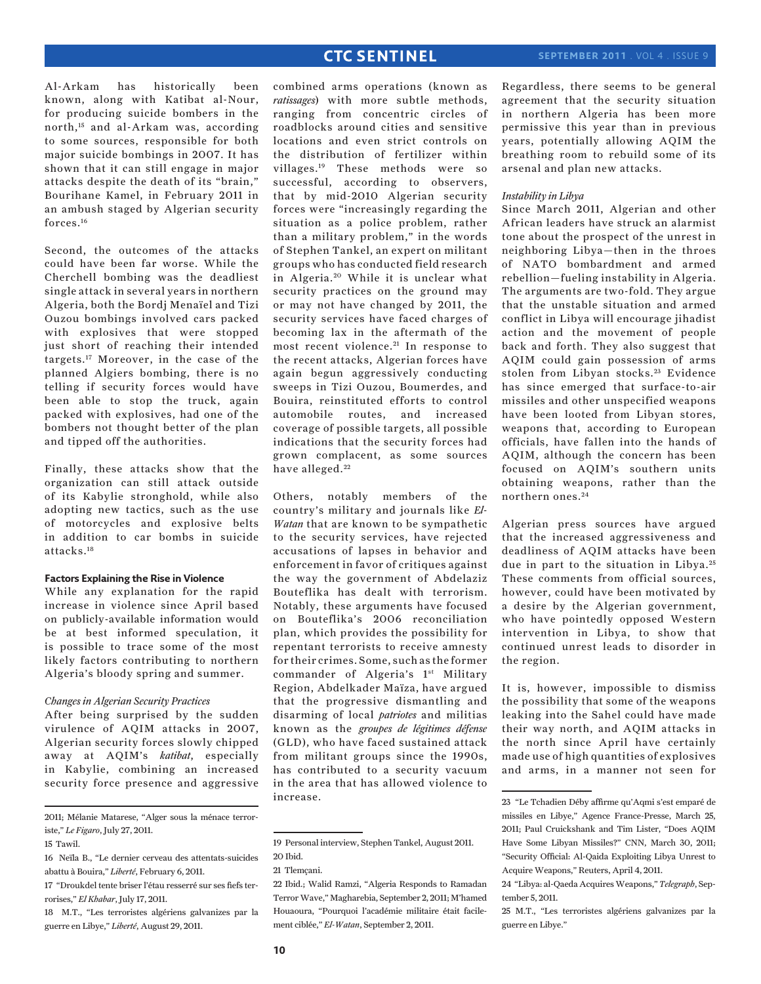Al-Arkam has historically been known, along with Katibat al-Nour, for producing suicide bombers in the north,15 and al-Arkam was, according to some sources, responsible for both major suicide bombings in 2007. It has shown that it can still engage in major attacks despite the death of its "brain," Bourihane Kamel, in February 2011 in an ambush staged by Algerian security forces.16

Second, the outcomes of the attacks could have been far worse. While the Cherchell bombing was the deadliest single attack in several years in northern Algeria, both the Bordj Menaïel and Tizi Ouzou bombings involved cars packed with explosives that were stopped just short of reaching their intended targets.17 Moreover, in the case of the planned Algiers bombing, there is no telling if security forces would have been able to stop the truck, again packed with explosives, had one of the bombers not thought better of the plan and tipped off the authorities.

Finally, these attacks show that the organization can still attack outside of its Kabylie stronghold, while also adopting new tactics, such as the use of motorcycles and explosive belts in addition to car bombs in suicide attacks.18

### **Factors Explaining the Rise in Violence**

While any explanation for the rapid increase in violence since April based on publicly-available information would be at best informed speculation, it is possible to trace some of the most likely factors contributing to northern Algeria's bloody spring and summer.

#### *Changes in Algerian Security Practices*

After being surprised by the sudden virulence of AQIM attacks in 2007, Algerian security forces slowly chipped away at AQIM's *katibat*, especially in Kabylie, combining an increased security force presence and aggressive

2011; Mélanie Matarese, "Alger sous la ménace terroriste," *Le Figaro*, July 27, 2011.

combined arms operations (known as *ratissages*) with more subtle methods, ranging from concentric circles of roadblocks around cities and sensitive locations and even strict controls on the distribution of fertilizer within villages.19 These methods were so successful, according to observers, that by mid-2010 Algerian security forces were "increasingly regarding the situation as a police problem, rather than a military problem," in the words of Stephen Tankel, an expert on militant groups who has conducted field research in Algeria.<sup>20</sup> While it is unclear what security practices on the ground may or may not have changed by 2011, the security services have faced charges of becoming lax in the aftermath of the most recent violence.<sup>21</sup> In response to the recent attacks, Algerian forces have again begun aggressively conducting sweeps in Tizi Ouzou, Boumerdes, and Bouira, reinstituted efforts to control automobile routes, and increased coverage of possible targets, all possible indications that the security forces had grown complacent, as some sources have alleged.<sup>22</sup>

Others, notably members of the country's military and journals like *El-Watan* that are known to be sympathetic to the security services, have rejected accusations of lapses in behavior and enforcement in favor of critiques against the way the government of Abdelaziz Bouteflika has dealt with terrorism. Notably, these arguments have focused on Bouteflika's 2006 reconciliation plan, which provides the possibility for repentant terrorists to receive amnesty for their crimes. Some, such as the former commander of Algeria's 1<sup>st</sup> Military Region, Abdelkader Maïza, have argued that the progressive dismantling and disarming of local *patriotes* and militias known as the *groupes de légitimes défense* (GLD), who have faced sustained attack from militant groups since the 1990s, has contributed to a security vacuum in the area that has allowed violence to increase.

Regardless, there seems to be general agreement that the security situation in northern Algeria has been more permissive this year than in previous years, potentially allowing AQIM the breathing room to rebuild some of its arsenal and plan new attacks.

#### *Instability in Libya*

Since March 2011, Algerian and other African leaders have struck an alarmist tone about the prospect of the unrest in neighboring Libya—then in the throes of NATO bombardment and armed rebellion—fueling instability in Algeria. The arguments are two-fold. They argue that the unstable situation and armed conflict in Libya will encourage jihadist action and the movement of people back and forth. They also suggest that AQIM could gain possession of arms stolen from Libyan stocks.<sup>23</sup> Evidence has since emerged that surface-to-air missiles and other unspecified weapons have been looted from Libyan stores, weapons that, according to European officials, have fallen into the hands of AQIM, although the concern has been focused on AQIM's southern units obtaining weapons, rather than the northern ones. <sup>24</sup>

Algerian press sources have argued that the increased aggressiveness and deadliness of AQIM attacks have been due in part to the situation in Libya.25 These comments from official sources, however, could have been motivated by a desire by the Algerian government, who have pointedly opposed Western intervention in Libya, to show that continued unrest leads to disorder in the region.

It is, however, impossible to dismiss the possibility that some of the weapons leaking into the Sahel could have made their way north, and AQIM attacks in the north since April have certainly made use of high quantities of explosives and arms, in a manner not seen for

<sup>15</sup> Tawil.

<sup>16</sup> Neïla B., "Le dernier cerveau des attentats-suicides abattu à Bouira," *Liberté*, February 6, 2011.

<sup>17 &</sup>quot;Droukdel tente briser l'étau resserré sur ses fiefs terrorises," *El Khabar*, July 17, 2011.

<sup>18</sup> M.T., "Les terroristes algériens galvanizes par la guerre en Libye," *Liberté*, August 29, 2011.

<sup>19</sup> Personal interview, Stephen Tankel, August 2011. 20 Ibid.

<sup>21</sup> Tlemçani.

<sup>22</sup> Ibid.; Walid Ramzi, "Algeria Responds to Ramadan Terror Wave," Magharebia, September 2, 2011; M'hamed Houaoura, "Pourquoi l'académie militaire était facilement ciblée," *El-Watan*, September 2, 2011.

<sup>23 &</sup>quot;Le Tchadien Déby affirme qu'Aqmi s'est emparé de missiles en Libye," Agence France-Presse, March 25, 2011; Paul Cruickshank and Tim Lister, "Does AQIM Have Some Libyan Missiles?" CNN, March 30, 2011; "Security Official: Al-Qaida Exploiting Libya Unrest to Acquire Weapons," Reuters, April 4, 2011.

<sup>24 &</sup>quot;Libya: al-Qaeda Acquires Weapons," *Telegraph*, September 5, 2011.

<sup>25</sup> M.T., "Les terroristes algériens galvanizes par la guerre en Libye."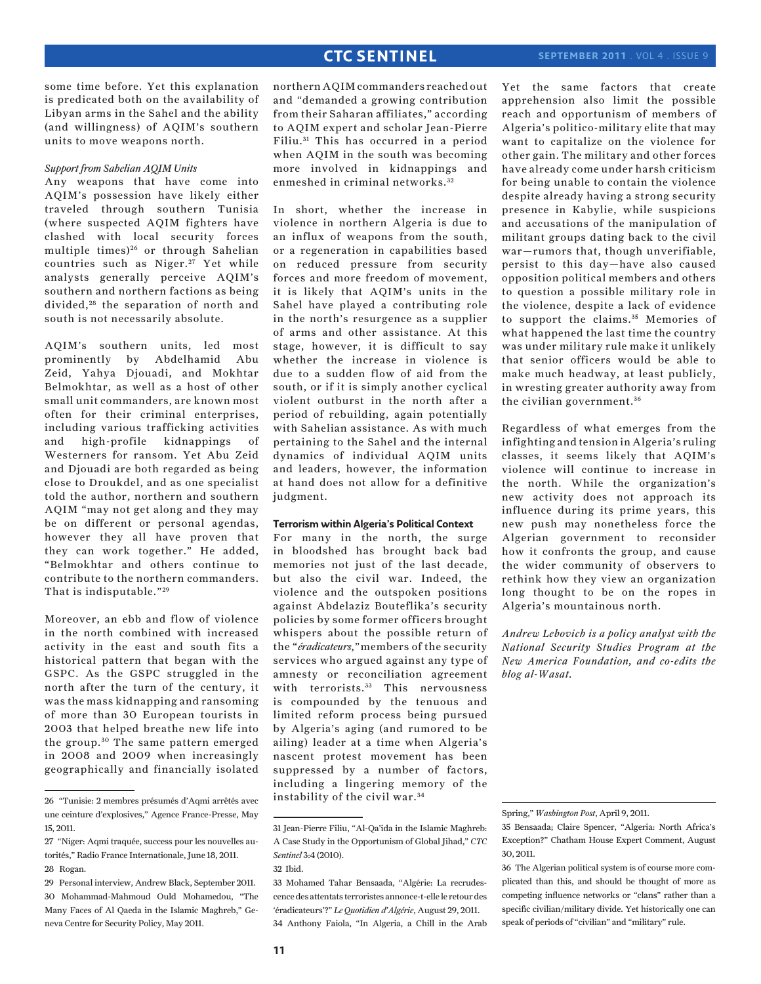some time before. Yet this explanation is predicated both on the availability of Libyan arms in the Sahel and the ability (and willingness) of AQIM's southern units to move weapons north.

#### *Support from Sahelian AQIM Units*

Any weapons that have come into AQIM's possession have likely either traveled through southern Tunisia (where suspected AQIM fighters have clashed with local security forces multiple times)<sup>26</sup> or through Sahelian countries such as Niger.<sup>27</sup> Yet while analysts generally perceive AQIM's southern and northern factions as being divided,<sup>28</sup> the separation of north and south is not necessarily absolute.

AQIM's southern units, led most prominently by Abdelhamid Abu Zeid, Yahya Djouadi, and Mokhtar Belmokhtar, as well as a host of other small unit commanders, are known most often for their criminal enterprises, including various trafficking activities and high-profile kidnappings of Westerners for ransom. Yet Abu Zeid and Djouadi are both regarded as being close to Droukdel, and as one specialist told the author, northern and southern AQIM "may not get along and they may be on different or personal agendas, however they all have proven that they can work together." He added, "Belmokhtar and others continue to contribute to the northern commanders. That is indisputable."<sup>29</sup>

Moreover, an ebb and flow of violence in the north combined with increased activity in the east and south fits a historical pattern that began with the GSPC. As the GSPC struggled in the north after the turn of the century, it was the mass kidnapping and ransoming of more than 30 European tourists in 2003 that helped breathe new life into the group.<sup>30</sup> The same pattern emerged in 2008 and 2009 when increasingly geographically and financially isolated

northern AQIM commanders reached out and "demanded a growing contribution from their Saharan affiliates," according to AQIM expert and scholar Jean-Pierre Filiu. 31 This has occurred in a period when AQIM in the south was becoming more involved in kidnappings and enmeshed in criminal networks. <sup>32</sup>

In short, whether the increase in violence in northern Algeria is due to an influx of weapons from the south, or a regeneration in capabilities based on reduced pressure from security forces and more freedom of movement, it is likely that AQIM's units in the Sahel have played a contributing role in the north's resurgence as a supplier of arms and other assistance. At this stage, however, it is difficult to say whether the increase in violence is due to a sudden flow of aid from the south, or if it is simply another cyclical violent outburst in the north after a period of rebuilding, again potentially with Sahelian assistance. As with much pertaining to the Sahel and the internal dynamics of individual AQIM units and leaders, however, the information at hand does not allow for a definitive judgment.

#### **Terrorism within Algeria's Political Context**

For many in the north, the surge in bloodshed has brought back bad memories not just of the last decade, but also the civil war. Indeed, the violence and the outspoken positions against Abdelaziz Bouteflika's security policies by some former officers brought whispers about the possible return of the "*éradicateurs*," members of the security services who argued against any type of amnesty or reconciliation agreement with terrorists.<sup>33</sup> This nervousness is compounded by the tenuous and limited reform process being pursued by Algeria's aging (and rumored to be ailing) leader at a time when Algeria's nascent protest movement has been suppressed by a number of factors, including a lingering memory of the instability of the civil war.<sup>34</sup>

Yet the same factors that create apprehension also limit the possible reach and opportunism of members of Algeria's politico-military elite that may want to capitalize on the violence for other gain. The military and other forces have already come under harsh criticism for being unable to contain the violence despite already having a strong security presence in Kabylie, while suspicions and accusations of the manipulation of militant groups dating back to the civil war—rumors that, though unverifiable, persist to this day—have also caused opposition political members and others to question a possible military role in the violence, despite a lack of evidence to support the claims. 35 Memories of what happened the last time the country was under military rule make it unlikely that senior officers would be able to make much headway, at least publicly, in wresting greater authority away from the civilian government.<sup>36</sup>

Regardless of what emerges from the infighting and tension in Algeria's ruling classes, it seems likely that AQIM's violence will continue to increase in the north. While the organization's new activity does not approach its influence during its prime years, this new push may nonetheless force the Algerian government to reconsider how it confronts the group, and cause the wider community of observers to rethink how they view an organization long thought to be on the ropes in Algeria's mountainous north.

*Andrew Lebovich is a policy analyst with the National Security Studies Program at the New America Foundation, and co-edits the blog al-Wasat.*

<sup>26 &</sup>quot;Tunisie: 2 membres présumés d'Aqmi arrêtés avec une ceinture d'explosives," Agence France-Presse, May 15, 2011.

<sup>27 &</sup>quot;Niger: Aqmi traquée, success pour les nouvelles autorités," Radio France Internationale, June 18, 2011. 28 Rogan.

<sup>29</sup> Personal interview, Andrew Black, September 2011. 30 Mohammad-Mahmoud Ould Mohamedou, "The Many Faces of Al Qaeda in the Islamic Maghreb," Geneva Centre for Security Policy, May 2011.

<sup>31</sup> Jean-Pierre Filiu, "Al-Qa'ida in the Islamic Maghreb: A Case Study in the Opportunism of Global Jihad," *CTC Sentinel* 3:4 (2010).

<sup>32</sup> Ibid.

<sup>33</sup> Mohamed Tahar Bensaada, "Algérie: La recrudescence des attentats terroristes annonce-t-elle le retour des 'éradicateurs'?" *Le Quotidien d'Algérie*, August 29, 2011. 34 Anthony Faiola, "In Algeria, a Chill in the Arab

Spring," *Washington Post*, April 9, 2011.

<sup>35</sup> Bensaada; Claire Spencer, "Algeria: North Africa's Exception?" Chatham House Expert Comment, August 30, 2011.

<sup>36</sup> The Algerian political system is of course more complicated than this, and should be thought of more as competing influence networks or "clans" rather than a specific civilian/military divide. Yet historically one can speak of periods of "civilian" and "military" rule.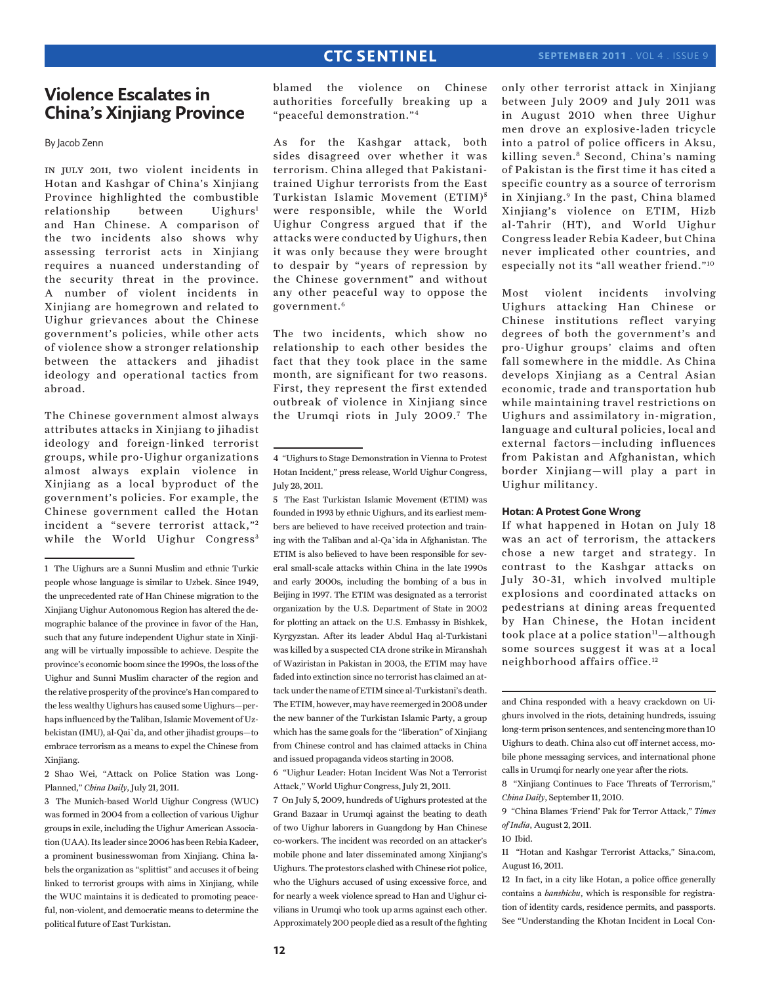# **Violence Escalates in China's Xinjiang Province**

By Jacob Zenn

in july 2011, two violent incidents in Hotan and Kashgar of China's Xinjiang Province highlighted the combustible relationship between Uighurs<sup>1</sup> and Han Chinese. A comparison of the two incidents also shows why assessing terrorist acts in Xinjiang requires a nuanced understanding of the security threat in the province. A number of violent incidents in Xinjiang are homegrown and related to Uighur grievances about the Chinese government's policies, while other acts of violence show a stronger relationship between the attackers and jihadist ideology and operational tactics from abroad.

The Chinese government almost always attributes attacks in Xinjiang to jihadist ideology and foreign-linked terrorist groups, while pro-Uighur organizations almost always explain violence in Xinjiang as a local byproduct of the government's policies. For example, the Chinese government called the Hotan incident a "severe terrorist attack,"2 while the World Uighur Congress<sup>3</sup>

1 The Uighurs are a Sunni Muslim and ethnic Turkic people whose language is similar to Uzbek. Since 1949, the unprecedented rate of Han Chinese migration to the Xinjiang Uighur Autonomous Region has altered the demographic balance of the province in favor of the Han, such that any future independent Uighur state in Xinjiang will be virtually impossible to achieve. Despite the province's economic boom since the 1990s, the loss of the Uighur and Sunni Muslim character of the region and the relative prosperity of the province's Han compared to the less wealthy Uighurs has caused some Uighurs—perhaps influenced by the Taliban, Islamic Movement of Uzbekistan (IMU), al-Qai`da, and other jihadist groups—to embrace terrorism as a means to expel the Chinese from Xinjiang.

2 Shao Wei, "Attack on Police Station was Long-Planned," *China Daily*, July 21, 2011.

3 The Munich-based World Uighur Congress (WUC) was formed in 2004 from a collection of various Uighur groups in exile, including the Uighur American Association (UAA). Its leader since 2006 has been Rebia Kadeer, a prominent businesswoman from Xinjiang. China labels the organization as "splittist" and accuses it of being linked to terrorist groups with aims in Xinjiang, while the WUC maintains it is dedicated to promoting peaceful, non-violent, and democratic means to determine the political future of East Turkistan.

blamed the violence on Chinese authorities forcefully breaking up a "peaceful demonstration."4

As for the Kashgar attack, both sides disagreed over whether it was terrorism. China alleged that Pakistanitrained Uighur terrorists from the East Turkistan Islamic Movement (ETIM) <sup>5</sup> were responsible, while the World Uighur Congress argued that if the attacks were conducted by Uighurs, then it was only because they were brought to despair by "years of repression by the Chinese government" and without any other peaceful way to oppose the government.6

The two incidents, which show no relationship to each other besides the fact that they took place in the same month, are significant for two reasons. First, they represent the first extended outbreak of violence in Xinjiang since the Urumqi riots in July 2009.7 The

5 The East Turkistan Islamic Movement (ETIM) was founded in 1993 by ethnic Uighurs, and its earliest members are believed to have received protection and training with the Taliban and al-Qa`ida in Afghanistan. The ETIM is also believed to have been responsible for several small-scale attacks within China in the late 1990s and early 2000s, including the bombing of a bus in Beijing in 1997. The ETIM was designated as a terrorist organization by the U.S. Department of State in 2002 for plotting an attack on the U.S. Embassy in Bishkek, Kyrgyzstan. After its leader Abdul Haq al-Turkistani was killed by a suspected CIA drone strike in Miranshah of Waziristan in Pakistan in 2003, the ETIM may have faded into extinction since no terrorist has claimed an attack under the name of ETIM since al-Turkistani's death. The ETIM, however, may have reemerged in 2008 under the new banner of the Turkistan Islamic Party, a group which has the same goals for the "liberation" of Xinjiang from Chinese control and has claimed attacks in China and issued propaganda videos starting in 2008.

6 "Uighur Leader: Hotan Incident Was Not a Terrorist Attack," World Uighur Congress, July 21, 2011.

7 On July 5, 2009, hundreds of Uighurs protested at the Grand Bazaar in Urumqi against the beating to death of two Uighur laborers in Guangdong by Han Chinese co-workers. The incident was recorded on an attacker's mobile phone and later disseminated among Xinjiang's Uighurs. The protestors clashed with Chinese riot police, who the Uighurs accused of using excessive force, and for nearly a week violence spread to Han and Uighur civilians in Urumqi who took up arms against each other. Approximately 200 people died as a result of the fighting only other terrorist attack in Xinjiang between July 2009 and July 2011 was in August 2010 when three Uighur men drove an explosive-laden tricycle into a patrol of police officers in Aksu, killing seven.8 Second, China's naming of Pakistan is the first time it has cited a specific country as a source of terrorism in Xinjiang.<sup>9</sup> In the past, China blamed Xinjiang's violence on ETIM, Hizb al-Tahrir (HT), and World Uighur Congress leader Rebia Kadeer, but China never implicated other countries, and especially not its "all weather friend."10

Most violent incidents involving Uighurs attacking Han Chinese or Chinese institutions reflect varying degrees of both the government's and pro-Uighur groups' claims and often fall somewhere in the middle. As China develops Xinjiang as a Central Asian economic, trade and transportation hub while maintaining travel restrictions on Uighurs and assimilatory in-migration, language and cultural policies, local and external factors—including influences from Pakistan and Afghanistan, which border Xinjiang—will play a part in Uighur militancy.

### **Hotan: A Protest Gone Wrong**

If what happened in Hotan on July 18 was an act of terrorism, the attackers chose a new target and strategy. In contrast to the Kashgar attacks on July 30-31, which involved multiple explosions and coordinated attacks on pedestrians at dining areas frequented by Han Chinese, the Hotan incident took place at a police station<sup>11</sup>-although some sources suggest it was at a local neighborhood affairs office.12

and China responded with a heavy crackdown on Uighurs involved in the riots, detaining hundreds, issuing long-term prison sentences, and sentencing more than 10 Uighurs to death. China also cut off internet access, mobile phone messaging services, and international phone calls in Urumqi for nearly one year after the riots.

8 "Xinjiang Continues to Face Threats of Terrorism," *China Daily*, September 11, 2010.

9 "China Blames 'Friend' Pak for Terror Attack," *Times of India*, August 2, 2011.

11 "Hotan and Kashgar Terrorist Attacks," Sina.com, August 16, 2011.

12 In fact, in a city like Hotan, a police office generally contains a *banshichu*, which is responsible for registration of identity cards, residence permits, and passports. See "Understanding the Khotan Incident in Local Con-

<sup>4 &</sup>quot;Uighurs to Stage Demonstration in Vienna to Protest Hotan Incident," press release, World Uighur Congress, July 28, 2011.

<sup>10</sup> Ibid.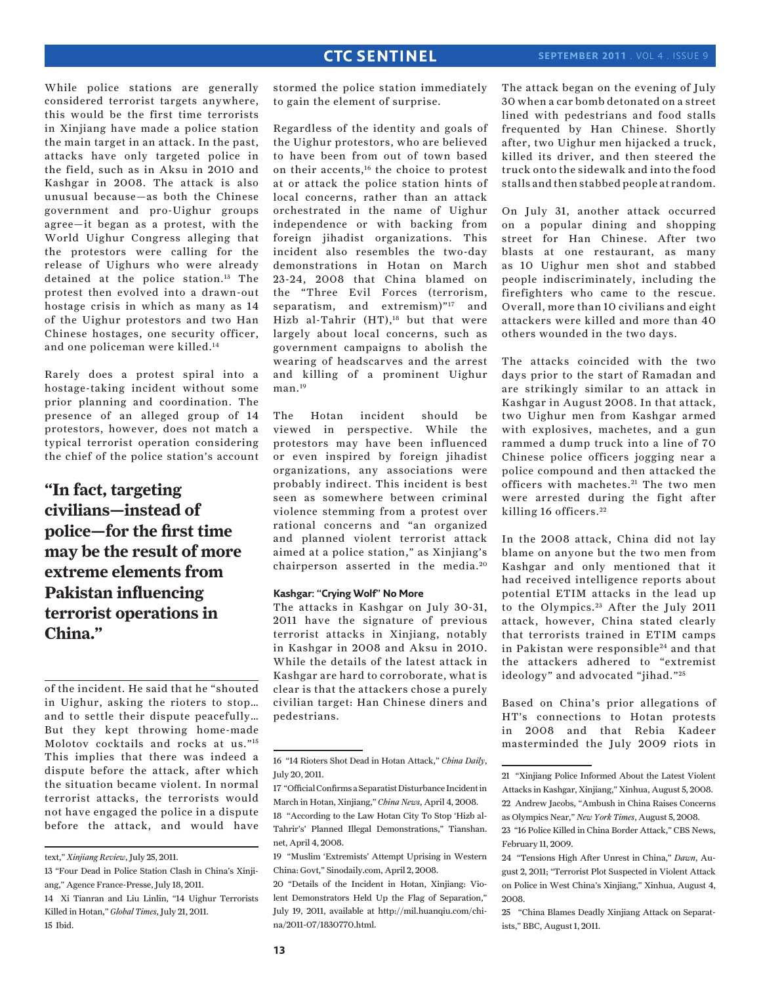While police stations are generally considered terrorist targets anywhere, this would be the first time terrorists in Xinjiang have made a police station the main target in an attack. In the past, attacks have only targeted police in the field, such as in Aksu in 2010 and Kashgar in 2008. The attack is also unusual because—as both the Chinese government and pro-Uighur groups agree—it began as a protest, with the World Uighur Congress alleging that the protestors were calling for the release of Uighurs who were already detained at the police station.13 The protest then evolved into a drawn-out hostage crisis in which as many as 14 of the Uighur protestors and two Han Chinese hostages, one security officer, and one policeman were killed.14

Rarely does a protest spiral into a hostage-taking incident without some prior planning and coordination. The presence of an alleged group of 14 protestors, however, does not match a typical terrorist operation considering the chief of the police station's account

# **"In fact, targeting civilians—instead of police—for the first time may be the result of more extreme elements from Pakistan influencing terrorist operations in China."**

of the incident. He said that he "shouted in Uighur, asking the rioters to stop… and to settle their dispute peacefully… But they kept throwing home-made Molotov cocktails and rocks at us."15 This implies that there was indeed a dispute before the attack, after which the situation became violent. In normal terrorist attacks, the terrorists would not have engaged the police in a dispute before the attack, and would have

text," *Xinjiang Review*, July 25, 2011.

14 Xi Tianran and Liu Linlin, "14 Uighur Terrorists Killed in Hotan," *Global Times*, July 21, 2011. 15 Ibid.

stormed the police station immediately to gain the element of surprise.

Regardless of the identity and goals of the Uighur protestors, who are believed to have been from out of town based on their accents,<sup>16</sup> the choice to protest at or attack the police station hints of local concerns, rather than an attack orchestrated in the name of Uighur independence or with backing from foreign jihadist organizations. This incident also resembles the two-day demonstrations in Hotan on March 23-24, 2008 that China blamed on the "Three Evil Forces (terrorism, separatism, and extremism)"<sup>17</sup> and Hizb al-Tahrir (HT),<sup>18</sup> but that were largely about local concerns, such as government campaigns to abolish the wearing of headscarves and the arrest and killing of a prominent Uighur man.<sup>19</sup>

The Hotan incident should be viewed in perspective. While the protestors may have been influenced or even inspired by foreign jihadist organizations, any associations were probably indirect. This incident is best seen as somewhere between criminal violence stemming from a protest over rational concerns and "an organized and planned violent terrorist attack aimed at a police station," as Xinjiang's chairperson asserted in the media.<sup>20</sup>

### **Kashgar: "Crying Wolf" No More**

The attacks in Kashgar on July 30-31, 2011 have the signature of previous terrorist attacks in Xinjiang, notably in Kashgar in 2008 and Aksu in 2010. While the details of the latest attack in Kashgar are hard to corroborate, what is clear is that the attackers chose a purely civilian target: Han Chinese diners and pedestrians.

The attack began on the evening of July 30 when a car bomb detonated on a street lined with pedestrians and food stalls frequented by Han Chinese. Shortly after, two Uighur men hijacked a truck, killed its driver, and then steered the truck onto the sidewalk and into the food stalls and then stabbed people at random.

On July 31, another attack occurred on a popular dining and shopping street for Han Chinese. After two blasts at one restaurant, as many as 10 Uighur men shot and stabbed people indiscriminately, including the firefighters who came to the rescue. Overall, more than 10 civilians and eight attackers were killed and more than 40 others wounded in the two days.

The attacks coincided with the two days prior to the start of Ramadan and are strikingly similar to an attack in Kashgar in August 2008. In that attack, two Uighur men from Kashgar armed with explosives, machetes, and a gun rammed a dump truck into a line of 70 Chinese police officers jogging near a police compound and then attacked the officers with machetes.<sup>21</sup> The two men were arrested during the fight after killing 16 officers. <sup>22</sup>

In the 2008 attack, China did not lay blame on anyone but the two men from Kashgar and only mentioned that it had received intelligence reports about potential ETIM attacks in the lead up to the Olympics. 23 After the July 2011 attack, however, China stated clearly that terrorists trained in ETIM camps in Pakistan were responsible<sup>24</sup> and that the attackers adhered to "extremist ideology" and advocated "jihad."<sup>25</sup>

Based on China's prior allegations of HT's connections to Hotan protests in 2008 and that Rebia Kadeer masterminded the July 2009 riots in

<sup>13 &</sup>quot;Four Dead in Police Station Clash in China's Xinjiang," Agence France-Presse, July 18, 2011.

<sup>16 &</sup>quot;14 Rioters Shot Dead in Hotan Attack," *China Daily*, July 20, 2011.

<sup>17 &</sup>quot;Official Confirms a Separatist Disturbance Incident in March in Hotan, Xinjiang," *China News*, April 4, 2008.

<sup>18 &</sup>quot;According to the Law Hotan City To Stop 'Hizb al-Tahrir's' Planned Illegal Demonstrations," Tianshan. net, April 4, 2008.

<sup>19 &</sup>quot;Muslim 'Extremists' Attempt Uprising in Western China: Govt," Sinodaily.com, April 2, 2008.

<sup>20 &</sup>quot;Details of the Incident in Hotan, Xinjiang: Violent Demonstrators Held Up the Flag of Separation," July 19, 2011, available at http://mil.huanqiu.com/china/2011-07/1830770.html.

<sup>21 &</sup>quot;Xinjiang Police Informed About the Latest Violent Attacks in Kashgar, Xinjiang," Xinhua, August 5, 2008. 22 Andrew Jacobs, "Ambush in China Raises Concerns

as Olympics Near," *New York Times*, August 5, 2008. 23 "16 Police Killed in China Border Attack," CBS News, February 11, 2009.

<sup>24 &</sup>quot;Tensions High After Unrest in China," *Dawn*, August 2, 2011; "Terrorist Plot Suspected in Violent Attack on Police in West China's Xinjiang," Xinhua, August 4, 2008.

<sup>25 &</sup>quot;China Blames Deadly Xinjiang Attack on Separatists," BBC, August 1, 2011.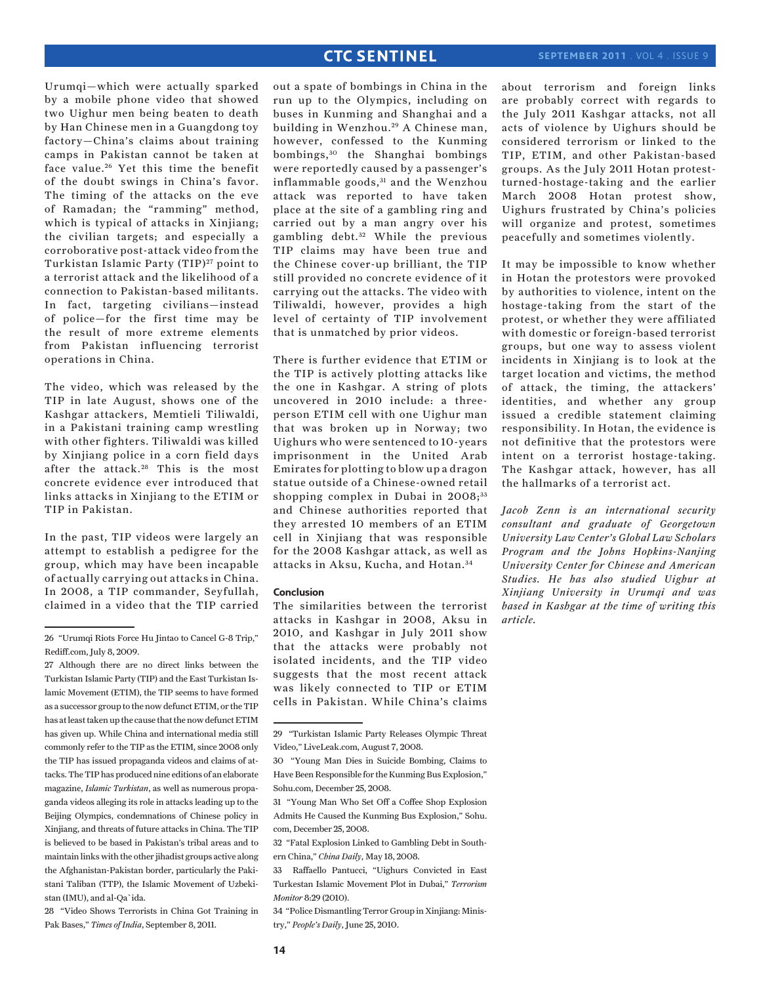Urumqi—which were actually sparked by a mobile phone video that showed two Uighur men being beaten to death by Han Chinese men in a Guangdong toy factory—China's claims about training camps in Pakistan cannot be taken at face value.<sup>26</sup> Yet this time the benefit of the doubt swings in China's favor. The timing of the attacks on the eve of Ramadan; the "ramming" method, which is typical of attacks in Xinjiang; the civilian targets; and especially a corroborative post-attack video from the Turkistan Islamic Party (TIP)<sup>27</sup> point to a terrorist attack and the likelihood of a connection to Pakistan-based militants. In fact, targeting civilians—instead of police—for the first time may be the result of more extreme elements from Pakistan influencing terrorist operations in China.

The video, which was released by the TIP in late August, shows one of the Kashgar attackers, Memtieli Tiliwaldi, in a Pakistani training camp wrestling with other fighters. Tiliwaldi was killed by Xinjiang police in a corn field days after the attack.<sup>28</sup> This is the most concrete evidence ever introduced that links attacks in Xinjiang to the ETIM or TIP in Pakistan.

In the past, TIP videos were largely an attempt to establish a pedigree for the group, which may have been incapable of actually carrying out attacks in China. In 2008, a TIP commander, Seyfullah, claimed in a video that the TIP carried out a spate of bombings in China in the run up to the Olympics, including on buses in Kunming and Shanghai and a building in Wenzhou.<sup>29</sup> A Chinese man, however, confessed to the Kunming bombings, 30 the Shanghai bombings were reportedly caused by a passenger's inflammable goods,<sup>31</sup> and the Wenzhou attack was reported to have taken place at the site of a gambling ring and carried out by a man angry over his gambling debt.<sup>32</sup> While the previous TIP claims may have been true and the Chinese cover-up brilliant, the TIP still provided no concrete evidence of it carrying out the attacks. The video with Tiliwaldi, however, provides a high level of certainty of TIP involvement that is unmatched by prior videos.

There is further evidence that ETIM or the TIP is actively plotting attacks like the one in Kashgar. A string of plots uncovered in 2010 include: a threeperson ETIM cell with one Uighur man that was broken up in Norway; two Uighurs who were sentenced to 10-years imprisonment in the United Arab Emirates for plotting to blow up a dragon statue outside of a Chinese-owned retail shopping complex in Dubai in 2008;<sup>33</sup> and Chinese authorities reported that they arrested 10 members of an ETIM cell in Xinjiang that was responsible for the 2008 Kashgar attack, as well as attacks in Aksu, Kucha, and Hotan. <sup>34</sup>

#### **Conclusion**

The similarities between the terrorist attacks in Kashgar in 2008, Aksu in 2010, and Kashgar in July 2011 show that the attacks were probably not isolated incidents, and the TIP video suggests that the most recent attack was likely connected to TIP or ETIM cells in Pakistan. While China's claims

34 "Police Dismantling Terror Group in Xinjiang: Ministry," *People's Daily*, June 25, 2010.

about terrorism and foreign links are probably correct with regards to the July 2011 Kashgar attacks, not all acts of violence by Uighurs should be considered terrorism or linked to the TIP, ETIM, and other Pakistan-based groups. As the July 2011 Hotan protestturned-hostage-taking and the earlier March 2008 Hotan protest show, Uighurs frustrated by China's policies will organize and protest, sometimes peacefully and sometimes violently.

It may be impossible to know whether in Hotan the protestors were provoked by authorities to violence, intent on the hostage-taking from the start of the protest, or whether they were affiliated with domestic or foreign-based terrorist groups, but one way to assess violent incidents in Xinjiang is to look at the target location and victims, the method of attack, the timing, the attackers' identities, and whether any group issued a credible statement claiming responsibility. In Hotan, the evidence is not definitive that the protestors were intent on a terrorist hostage-taking. The Kashgar attack, however, has all the hallmarks of a terrorist act.

*Jacob Zenn is an international security consultant and graduate of Georgetown University Law Center's Global Law Scholars Program and the Johns Hopkins-Nanjing University Center for Chinese and American Studies. He has also studied Uighur at Xinjiang University in Urumqi and was based in Kashgar at the time of writing this article.*

<sup>26 &</sup>quot;Urumqi Riots Force Hu Jintao to Cancel G-8 Trip," Rediff.com, July 8, 2009.

<sup>27</sup> Although there are no direct links between the Turkistan Islamic Party (TIP) and the East Turkistan Islamic Movement (ETIM), the TIP seems to have formed as a successor group to the now defunct ETIM, or the TIP has at least taken up the cause that the now defunct ETIM has given up. While China and international media still commonly refer to the TIP as the ETIM, since 2008 only the TIP has issued propaganda videos and claims of attacks. The TIP has produced nine editions of an elaborate magazine, *Islamic Turkistan*, as well as numerous propaganda videos alleging its role in attacks leading up to the Beijing Olympics, condemnations of Chinese policy in Xinjiang, and threats of future attacks in China. The TIP is believed to be based in Pakistan's tribal areas and to maintain links with the other jihadist groups active along the Afghanistan-Pakistan border, particularly the Pakistani Taliban (TTP), the Islamic Movement of Uzbekistan (IMU), and al-Qa`ida.

<sup>28 &</sup>quot;Video Shows Terrorists in China Got Training in Pak Bases," *Times of India*, September 8, 2011.

<sup>29 &</sup>quot;Turkistan Islamic Party Releases Olympic Threat Video," LiveLeak.com, August 7, 2008.

<sup>30 &</sup>quot;Young Man Dies in Suicide Bombing, Claims to Have Been Responsible for the Kunming Bus Explosion," Sohu.com, December 25, 2008.

<sup>31 &</sup>quot;Young Man Who Set Off a Coffee Shop Explosion Admits He Caused the Kunming Bus Explosion," Sohu. com, December 25, 2008.

<sup>32 &</sup>quot;Fatal Explosion Linked to Gambling Debt in Southern China," *China Daily*, May 18, 2008.

<sup>33</sup> Raffaello Pantucci, "Uighurs Convicted in East Turkestan Islamic Movement Plot in Dubai," *Terrorism Monitor* 8:29 (2010).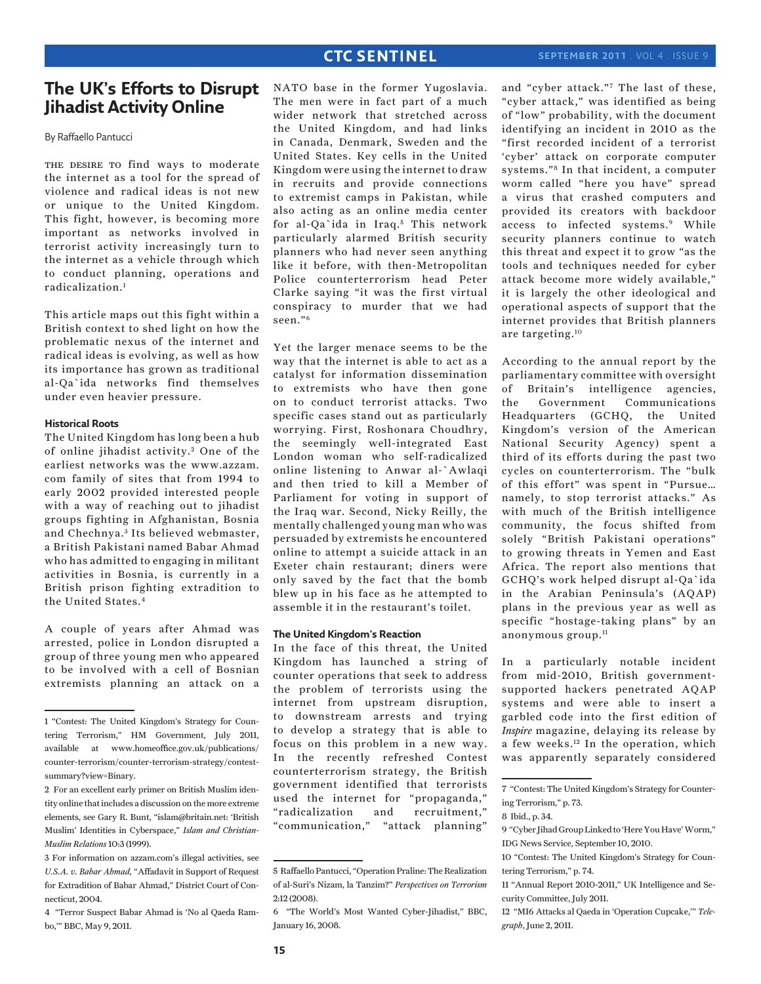# **The UK's Efforts to Disrupt Jihadist Activity Online**

By Raffaello Pantucci

THE DESIRE TO find ways to moderate the internet as a tool for the spread of violence and radical ideas is not new or unique to the United Kingdom. This fight, however, is becoming more important as networks involved in terrorist activity increasingly turn to the internet as a vehicle through which to conduct planning, operations and radicalization.1

This article maps out this fight within a British context to shed light on how the problematic nexus of the internet and radical ideas is evolving, as well as how its importance has grown as traditional al-Qa`ida networks find themselves under even heavier pressure.

### **Historical Roots**

The United Kingdom has long been a hub of online jihadist activity.<sup>2</sup> One of the earliest networks was the www.azzam. com family of sites that from 1994 to early 2002 provided interested people with a way of reaching out to jihadist groups fighting in Afghanistan, Bosnia and Chechnya.<sup>3</sup> Its believed webmaster, a British Pakistani named Babar Ahmad who has admitted to engaging in militant activities in Bosnia, is currently in a British prison fighting extradition to the United States.4

A couple of years after Ahmad was arrested, police in London disrupted a group of three young men who appeared to be involved with a cell of Bosnian extremists planning an attack on a

NATO base in the former Yugoslavia. The men were in fact part of a much wider network that stretched across the United Kingdom, and had links in Canada, Denmark, Sweden and the United States. Key cells in the United Kingdom were using the internet to draw in recruits and provide connections to extremist camps in Pakistan, while also acting as an online media center for al-Qa`ida in Iraq.<sup>5</sup> This network particularly alarmed British security planners who had never seen anything like it before, with then-Metropolitan Police counterterrorism head Peter Clarke saying "it was the first virtual conspiracy to murder that we had seen."6

Yet the larger menace seems to be the way that the internet is able to act as a catalyst for information dissemination to extremists who have then gone on to conduct terrorist attacks. Two specific cases stand out as particularly worrying. First, Roshonara Choudhry, the seemingly well-integrated East London woman who self-radicalized online listening to Anwar al-`Awlaqi and then tried to kill a Member of Parliament for voting in support of the Iraq war. Second, Nicky Reilly, the mentally challenged young man who was persuaded by extremists he encountered online to attempt a suicide attack in an Exeter chain restaurant; diners were only saved by the fact that the bomb blew up in his face as he attempted to assemble it in the restaurant's toilet.

#### **The United Kingdom's Reaction**

In the face of this threat, the United Kingdom has launched a string of counter operations that seek to address the problem of terrorists using the internet from upstream disruption, to downstream arrests and trying to develop a strategy that is able to focus on this problem in a new way. In the recently refreshed Contest counterterrorism strategy, the British government identified that terrorists used the internet for "propaganda," "radicalization and recruitment," "communication," "attack planning"

and "cyber attack."7 The last of these, "cyber attack," was identified as being of "low" probability, with the document identifying an incident in 2010 as the "first recorded incident of a terrorist 'cyber' attack on corporate computer systems."8 In that incident, a computer worm called "here you have" spread a virus that crashed computers and provided its creators with backdoor access to infected systems.<sup>9</sup> While security planners continue to watch this threat and expect it to grow "as the tools and techniques needed for cyber attack become more widely available," it is largely the other ideological and operational aspects of support that the internet provides that British planners are targeting.10

According to the annual report by the parliamentary committee with oversight of Britain's intelligence agencies, the Government Communications Headquarters (GCHQ, the United Kingdom's version of the American National Security Agency) spent a third of its efforts during the past two cycles on counterterrorism. The "bulk of this effort" was spent in "Pursue… namely, to stop terrorist attacks." As with much of the British intelligence community, the focus shifted from solely "British Pakistani operations" to growing threats in Yemen and East Africa. The report also mentions that GCHQ's work helped disrupt al-Qa`ida in the Arabian Peninsula's (AQAP) plans in the previous year as well as specific "hostage-taking plans" by an anonymous group.<sup>11</sup>

In a particularly notable incident from mid-2010, British governmentsupported hackers penetrated AQAP systems and were able to insert a garbled code into the first edition of *Inspire* magazine, delaying its release by a few weeks.12 In the operation, which was apparently separately considered

<sup>1 &</sup>quot;Contest: The United Kingdom's Strategy for Countering Terrorism," HM Government, July 2011, available at www.homeoffice.gov.uk/publications/ counter-terrorism/counter-terrorism-strategy/contestsummary?view=Binary.

<sup>2</sup> For an excellent early primer on British Muslim identity online that includes a discussion on the more extreme elements, see Gary R. Bunt, "islam@britain.net: 'British Muslim' Identities in Cyberspace," *Islam and Christian-Muslim Relations* 10:3 (1999).

<sup>3</sup> For information on azzam.com's illegal activities, see *U.S.A. v. Babar Ahmad,* "Affadavit in Support of Request for Extradition of Babar Ahmad," District Court of Connecticut, 2004.

<sup>4 &</sup>quot;Terror Suspect Babar Ahmad is 'No al Qaeda Rambo,'" BBC, May 9, 2011.

<sup>5</sup> Raffaello Pantucci, "Operation Praline: The Realization of al-Suri's Nizam, la Tanzim?" *Perspectives on Terrorism* 2:12 (2008).

<sup>6 &</sup>quot;The World's Most Wanted Cyber-Jihadist," BBC, January 16, 2008.

<sup>7 &</sup>quot;Contest: The United Kingdom's Strategy for Countering Terrorism," p. 73.

<sup>8</sup> Ibid., p. 34.

<sup>9 &</sup>quot;Cyber Jihad Group Linked to 'Here You Have' Worm," IDG News Service, September 10, 2010.

<sup>10 &</sup>quot;Contest: The United Kingdom's Strategy for Countering Terrorism," p. 74.

<sup>11 &</sup>quot;Annual Report 2010-2011," UK Intelligence and Security Committee, July 2011.

<sup>12 &</sup>quot;MI6 Attacks al Qaeda in 'Operation Cupcake,'" *Telegraph*, June 2, 2011.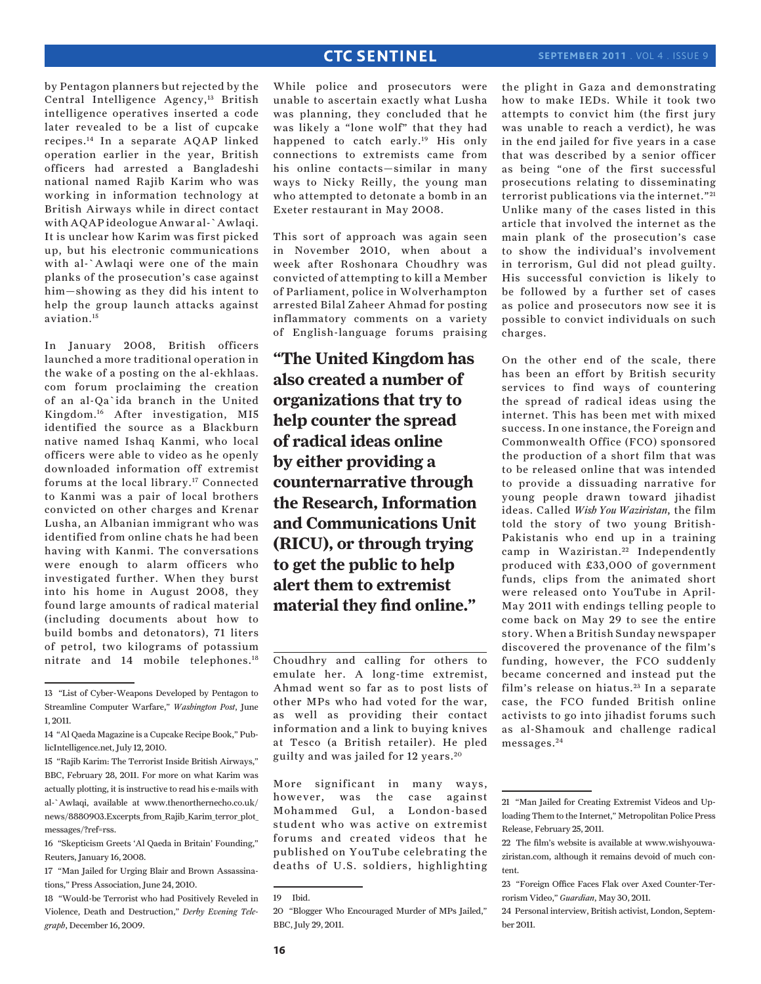by Pentagon planners but rejected by the Central Intelligence Agency,<sup>13</sup> British intelligence operatives inserted a code later revealed to be a list of cupcake recipes.14 In a separate AQAP linked operation earlier in the year, British officers had arrested a Bangladeshi national named Rajib Karim who was working in information technology at British Airways while in direct contact with AQAP ideologue Anwar al-`Awlaqi. It is unclear how Karim was first picked up, but his electronic communications with al-`Awlaqi were one of the main planks of the prosecution's case against him—showing as they did his intent to help the group launch attacks against aviation.15

In January 2008, British officers launched a more traditional operation in the wake of a posting on the al-ekhlaas. com forum proclaiming the creation of an al-Qa`ida branch in the United Kingdom.16 After investigation, MI5 identified the source as a Blackburn native named Ishaq Kanmi, who local officers were able to video as he openly downloaded information off extremist forums at the local library.17 Connected to Kanmi was a pair of local brothers convicted on other charges and Krenar Lusha, an Albanian immigrant who was identified from online chats he had been having with Kanmi. The conversations were enough to alarm officers who investigated further. When they burst into his home in August 2008, they found large amounts of radical material (including documents about how to build bombs and detonators), 71 liters of petrol, two kilograms of potassium nitrate and 14 mobile telephones.18

15 "Rajib Karim: The Terrorist Inside British Airways," BBC, February 28, 2011. For more on what Karim was actually plotting, it is instructive to read his e-mails with al-`Awlaqi, available at www.thenorthernecho.co.uk/ news/8880903.Excerpts from Rajib Karim terror plot messages/?ref=rss.

While police and prosecutors were unable to ascertain exactly what Lusha was planning, they concluded that he was likely a "lone wolf" that they had happened to catch early.19 His only connections to extremists came from his online contacts—similar in many ways to Nicky Reilly, the young man who attempted to detonate a bomb in an Exeter restaurant in May 2008.

This sort of approach was again seen in November 2010, when about a week after Roshonara Choudhry was convicted of attempting to kill a Member of Parliament, police in Wolverhampton arrested Bilal Zaheer Ahmad for posting inflammatory comments on a variety of English-language forums praising

**"The United Kingdom has also created a number of organizations that try to help counter the spread of radical ideas online by either providing a counternarrative through the Research, Information and Communications Unit (RICU), or through trying to get the public to help alert them to extremist material they find online."**

Choudhry and calling for others to emulate her. A long-time extremist, Ahmad went so far as to post lists of other MPs who had voted for the war, as well as providing their contact information and a link to buying knives at Tesco (a British retailer). He pled guilty and was jailed for 12 years. <sup>20</sup>

More significant in many ways, however, was the case against Mohammed Gul, a London-based student who was active on extremist forums and created videos that he published on YouTube celebrating the deaths of U.S. soldiers, highlighting

the plight in Gaza and demonstrating how to make IEDs. While it took two attempts to convict him (the first jury was unable to reach a verdict), he was in the end jailed for five years in a case that was described by a senior officer as being "one of the first successful prosecutions relating to disseminating terrorist publications via the internet."<sup>21</sup> Unlike many of the cases listed in this article that involved the internet as the main plank of the prosecution's case to show the individual's involvement in terrorism, Gul did not plead guilty. His successful conviction is likely to be followed by a further set of cases as police and prosecutors now see it is possible to convict individuals on such charges.

On the other end of the scale, there has been an effort by British security services to find ways of countering the spread of radical ideas using the internet. This has been met with mixed success. In one instance, the Foreign and Commonwealth Office (FCO) sponsored the production of a short film that was to be released online that was intended to provide a dissuading narrative for young people drawn toward jihadist ideas. Called *Wish You Waziristan*, the film told the story of two young British-Pakistanis who end up in a training camp in Waziristan.<sup>22</sup> Independently produced with £33,000 of government funds, clips from the animated short were released onto YouTube in April-May 2011 with endings telling people to come back on May 29 to see the entire story. When a British Sunday newspaper discovered the provenance of the film's funding, however, the FCO suddenly became concerned and instead put the film's release on hiatus.<sup>23</sup> In a separate case, the FCO funded British online activists to go into jihadist forums such as al-Shamouk and challenge radical messages. <sup>24</sup>

<sup>13 &</sup>quot;List of Cyber-Weapons Developed by Pentagon to Streamline Computer Warfare," *Washington Post*, June 1, 2011.

<sup>14 &</sup>quot;Al Qaeda Magazine is a Cupcake Recipe Book," PublicIntelligence.net, July 12, 2010.

<sup>16 &</sup>quot;Skepticism Greets 'Al Qaeda in Britain' Founding," Reuters, January 16, 2008.

<sup>17 &</sup>quot;Man Jailed for Urging Blair and Brown Assassinations," Press Association, June 24, 2010.

<sup>18 &</sup>quot;Would-be Terrorist who had Positively Reveled in Violence, Death and Destruction," *Derby Evening Telegraph*, December 16, 2009.

<sup>19</sup> Ibid.

<sup>20 &</sup>quot;Blogger Who Encouraged Murder of MPs Jailed," BBC, July 29, 2011.

<sup>21 &</sup>quot;Man Jailed for Creating Extremist Videos and Uploading Them to the Internet," Metropolitan Police Press Release, February 25, 2011.

<sup>22</sup> The film's website is available at www.wishyouwaziristan.com, although it remains devoid of much content.

<sup>23 &</sup>quot;Foreign Office Faces Flak over Axed Counter-Terrorism Video," *Guardian*, May 30, 2011.

<sup>24</sup> Personal interview, British activist, London, September 2011.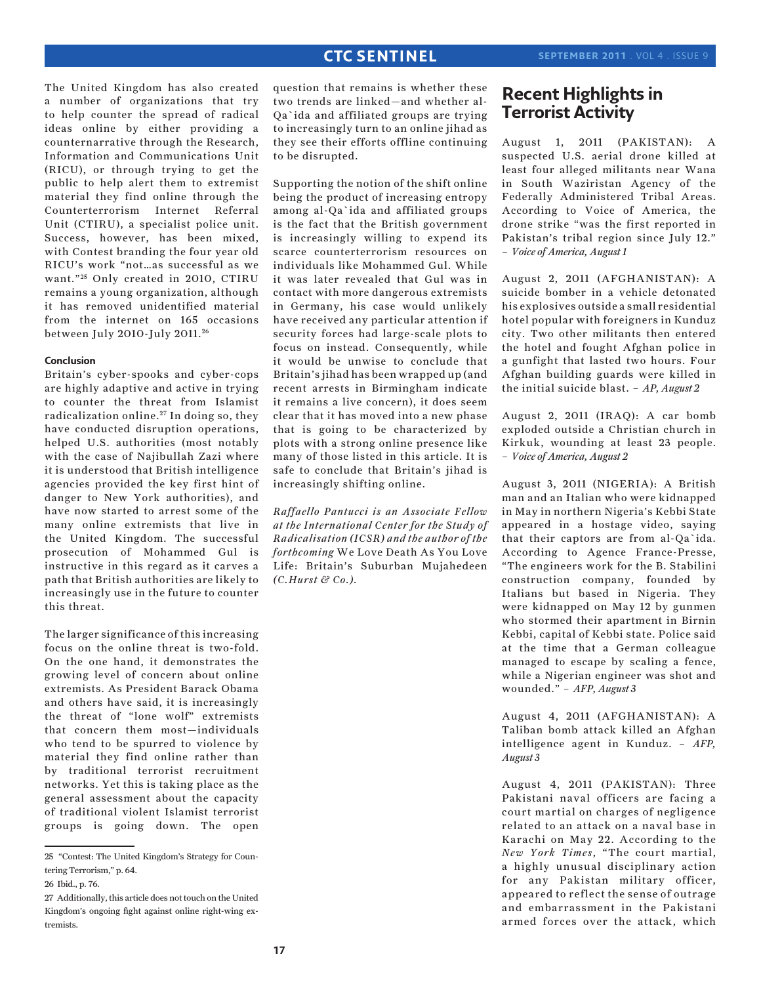The United Kingdom has also created a number of organizations that try to help counter the spread of radical ideas online by either providing a counternarrative through the Research, Information and Communications Unit (RICU), or through trying to get the public to help alert them to extremist material they find online through the Counterterrorism Internet Referral Unit (CTIRU), a specialist police unit. Success, however, has been mixed, with Contest branding the four year old RICU's work "not…as successful as we want."<sup>25</sup> Only created in 2010, CTIRU remains a young organization, although it has removed unidentified material from the internet on 165 occasions between July 2010-July 2011. <sup>26</sup>

### **Conclusion**

Britain's cyber-spooks and cyber-cops are highly adaptive and active in trying to counter the threat from Islamist radicalization online.<sup>27</sup> In doing so, they have conducted disruption operations, helped U.S. authorities (most notably with the case of Najibullah Zazi where it is understood that British intelligence agencies provided the key first hint of danger to New York authorities), and have now started to arrest some of the many online extremists that live in the United Kingdom. The successful prosecution of Mohammed Gul is instructive in this regard as it carves a path that British authorities are likely to increasingly use in the future to counter this threat.

The larger significance of this increasing focus on the online threat is two-fold. On the one hand, it demonstrates the growing level of concern about online extremists. As President Barack Obama and others have said, it is increasingly the threat of "lone wolf" extremists that concern them most—individuals who tend to be spurred to violence by material they find online rather than by traditional terrorist recruitment networks. Yet this is taking place as the general assessment about the capacity of traditional violent Islamist terrorist groups is going down. The open

question that remains is whether these two trends are linked—and whether al-Qa`ida and affiliated groups are trying to increasingly turn to an online jihad as they see their efforts offline continuing to be disrupted.

Supporting the notion of the shift online being the product of increasing entropy among al-Qa`ida and affiliated groups is the fact that the British government is increasingly willing to expend its scarce counterterrorism resources on individuals like Mohammed Gul. While it was later revealed that Gul was in contact with more dangerous extremists in Germany, his case would unlikely have received any particular attention if security forces had large-scale plots to focus on instead. Consequently, while it would be unwise to conclude that Britain's jihad has been wrapped up (and recent arrests in Birmingham indicate it remains a live concern), it does seem clear that it has moved into a new phase that is going to be characterized by plots with a strong online presence like many of those listed in this article. It is safe to conclude that Britain's jihad is increasingly shifting online.

*Raffaello Pantucci is an Associate Fellow at the International Center for the Study of Radicalisation (ICSR) and the author of the forthcoming* We Love Death As You Love Life: Britain's Suburban Mujahedeen *(C.Hurst & Co.).*

# **Recent Highlights in Terrorist Activity**

August 1, 2011 (PAKISTAN): A suspected U.S. aerial drone killed at least four alleged militants near Wana in South Waziristan Agency of the Federally Administered Tribal Areas. According to Voice of America, the drone strike "was the first reported in Pakistan's tribal region since July 12." – *Voice of America, August 1*

August 2, 2011 (AFGHANISTAN): A suicide bomber in a vehicle detonated his explosives outside a small residential hotel popular with foreigners in Kunduz city. Two other militants then entered the hotel and fought Afghan police in a gunfight that lasted two hours. Four Afghan building guards were killed in the initial suicide blast. – *AP, August 2*

August 2, 2011 (IRAQ): A car bomb exploded outside a Christian church in Kirkuk, wounding at least 23 people. – *Voice of America, August 2* 

August 3, 2011 (NIGERIA): A British man and an Italian who were kidnapped in May in northern Nigeria's Kebbi State appeared in a hostage video, saying that their captors are from al-Qa`ida. According to Agence France-Presse, "The engineers work for the B. Stabilini construction company, founded by Italians but based in Nigeria. They were kidnapped on May 12 by gunmen who stormed their apartment in Birnin Kebbi, capital of Kebbi state. Police said at the time that a German colleague managed to escape by scaling a fence, while a Nigerian engineer was shot and wounded." – *AFP, August 3*

August 4, 2011 (AFGHANISTAN): A Taliban bomb attack killed an Afghan intelligence agent in Kunduz. – *AFP, August 3*

August 4, 2011 (PAKISTAN): Three Pakistani naval officers are facing a court martial on charges of negligence related to an attack on a naval base in Karachi on May 22. According to the *New York Times*, "The court martial, a highly unusual disciplinary action for any Pakistan military officer, appeared to reflect the sense of outrage and embarrassment in the Pakistani armed forces over the attack, which

<sup>25 &</sup>quot;Contest: The United Kingdom's Strategy for Countering Terrorism," p. 64.

<sup>26</sup> Ibid., p. 76.

<sup>27</sup> Additionally, this article does not touch on the United Kingdom's ongoing fight against online right-wing extremists.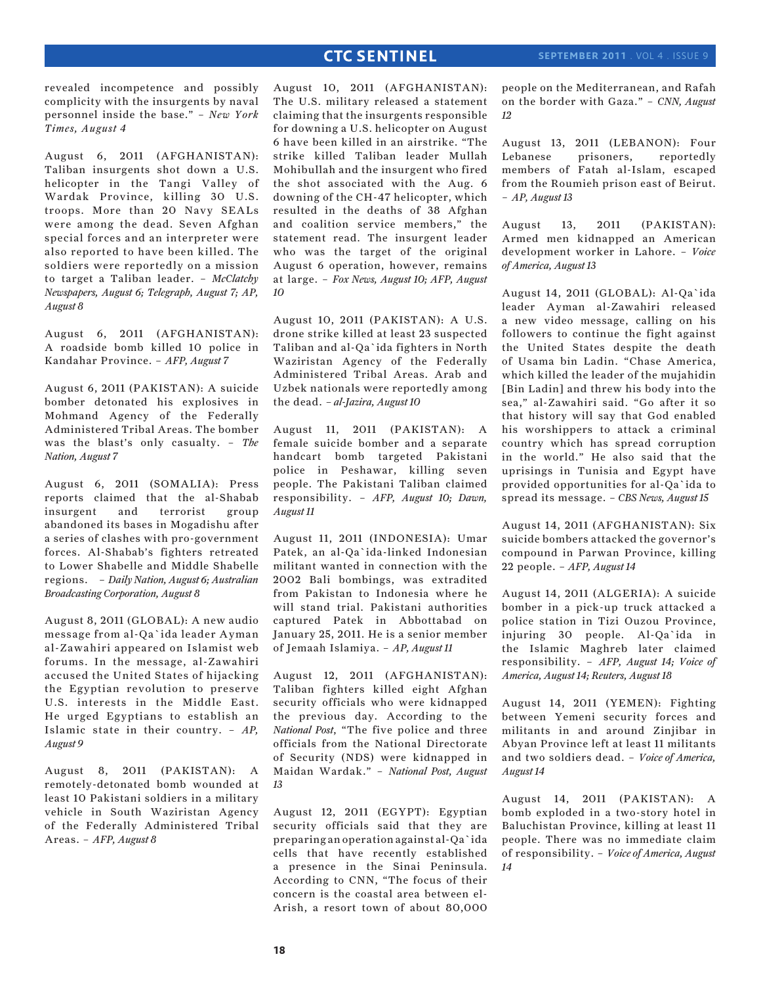revealed incompetence and possibly complicity with the insurgents by naval personnel inside the base." – *New York Times, August 4*

August 6, 2011 (AFGHANISTAN): Taliban insurgents shot down a U.S. helicopter in the Tangi Valley of Wardak Province, killing 30 U.S. troops. More than 20 Navy SEALs were among the dead. Seven Afghan special forces and an interpreter were also reported to have been killed. The soldiers were reportedly on a mission to target a Taliban leader. – *McClatchy Newspapers, August 6; Telegraph, August 7; AP, August 8*

August 6, 2011 (AFGHANISTAN): A roadside bomb killed 10 police in Kandahar Province. – *AFP, August 7*

August 6, 2011 (PAKISTAN): A suicide bomber detonated his explosives in Mohmand Agency of the Federally Administered Tribal Areas. The bomber was the blast's only casualty. – *The Nation, August 7*

August 6, 2011 (SOMALIA): Press reports claimed that the al-Shabab insurgent and terrorist group abandoned its bases in Mogadishu after a series of clashes with pro-government forces. Al-Shabab's fighters retreated to Lower Shabelle and Middle Shabelle regions. – *Daily Nation, August 6; Australian Broadcasting Corporation, August 8*

August 8, 2011 (GLOBAL): A new audio message from al-Qa`ida leader Ayman al-Zawahiri appeared on Islamist web forums. In the message, al-Zawahiri accused the United States of hijacking the Egyptian revolution to preserve U.S. interests in the Middle East. He urged Egyptians to establish an Islamic state in their country. – *AP, August 9*

August 8, 2011 (PAKISTAN): A remotely-detonated bomb wounded at least 10 Pakistani soldiers in a military vehicle in South Waziristan Agency of the Federally Administered Tribal Areas. – *AFP, August 8*

August 10, 2011 (AFGHANISTAN): The U.S. military released a statement claiming that the insurgents responsible for downing a U.S. helicopter on August 6 have been killed in an airstrike. "The strike killed Taliban leader Mullah Mohibullah and the insurgent who fired the shot associated with the Aug. 6 downing of the CH-47 helicopter, which resulted in the deaths of 38 Afghan and coalition service members," the statement read. The insurgent leader who was the target of the original August 6 operation, however, remains at large. – *Fox News, August 10; AFP, August 10*

August 10, 2011 (PAKISTAN): A U.S. drone strike killed at least 23 suspected Taliban and al-Qa`ida fighters in North Waziristan Agency of the Federally Administered Tribal Areas. Arab and Uzbek nationals were reportedly among the dead. *– al-Jazira, August 10*

August 11, 2011 (PAKISTAN): A female suicide bomber and a separate handcart bomb targeted Pakistani police in Peshawar, killing seven people. The Pakistani Taliban claimed responsibility. – *AFP, August 10; Dawn, August 11*

August 11, 2011 (INDONESIA): Umar Patek, an al-Qa`ida-linked Indonesian militant wanted in connection with the 2002 Bali bombings, was extradited from Pakistan to Indonesia where he will stand trial. Pakistani authorities captured Patek in Abbottabad on January 25, 2011. He is a senior member of Jemaah Islamiya. – *AP, August 11*

August 12, 2011 (AFGHANISTAN): Taliban fighters killed eight Afghan security officials who were kidnapped the previous day. According to the *National Post*, "The five police and three officials from the National Directorate of Security (NDS) were kidnapped in Maidan Wardak." – *National Post, August 13*

August 12, 2011 (EGYPT): Egyptian security officials said that they are preparing an operation against al-Qa`ida cells that have recently established a presence in the Sinai Peninsula. According to CNN, "The focus of their concern is the coastal area between el-Arish, a resort town of about 80,000

people on the Mediterranean, and Rafah on the border with Gaza." – *CNN, August 12*

August 13, 2011 (LEBANON): Four Lebanese prisoners, reportedly members of Fatah al-Islam, escaped from the Roumieh prison east of Beirut. – *AP, August 13*

August 13, 2011 (PAKISTAN): Armed men kidnapped an American development worker in Lahore. – *Voice of America, August 13*

August 14, 2011 (GLOBAL): Al-Qa`ida leader Ayman al-Zawahiri released a new video message, calling on his followers to continue the fight against the United States despite the death of Usama bin Ladin. "Chase America, which killed the leader of the mujahidin [Bin Ladin] and threw his body into the sea," al-Zawahiri said. "Go after it so that history will say that God enabled his worshippers to attack a criminal country which has spread corruption in the world." He also said that the uprisings in Tunisia and Egypt have provided opportunities for al-Qa`ida to spread its message. – *CBS News, August 15*

August 14, 2011 (AFGHANISTAN): Six suicide bombers attacked the governor's compound in Parwan Province, killing 22 people. – *AFP, August 14*

August 14, 2011 (ALGERIA): A suicide bomber in a pick-up truck attacked a police station in Tizi Ouzou Province, injuring 30 people. Al-Qa`ida in the Islamic Maghreb later claimed responsibility. – *AFP, August 14; Voice of America, August 14; Reuters, August 18*

August 14, 2011 (YEMEN): Fighting between Yemeni security forces and militants in and around Zinjibar in Abyan Province left at least 11 militants and two soldiers dead. – *Voice of America, August 14*

August 14, 2011 (PAKISTAN): A bomb exploded in a two-story hotel in Baluchistan Province, killing at least 11 people. There was no immediate claim of responsibility. – *Voice of America, August 14*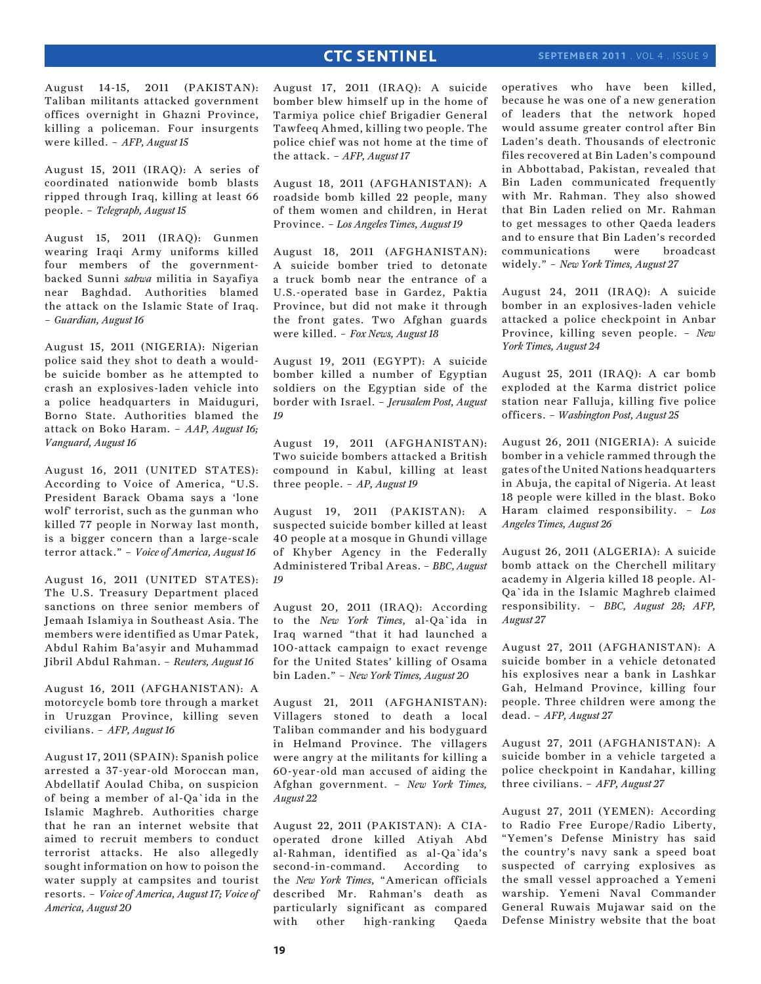### **september 2011** . Vol 4 . Issue 9

August 14-15, 2011 (PAKISTAN): Taliban militants attacked government offices overnight in Ghazni Province, killing a policeman. Four insurgents were killed. – *AFP, August 15*

August 15, 2011 (IRAQ): A series of coordinated nationwide bomb blasts ripped through Iraq, killing at least 66 people. – *Telegraph, August 15*

August 15, 2011 (IRAQ): Gunmen wearing Iraqi Army uniforms killed four members of the governmentbacked Sunni *sahwa* militia in Sayafiya near Baghdad. Authorities blamed the attack on the Islamic State of Iraq. – *Guardian, August 16*

August 15, 2011 (NIGERIA): Nigerian police said they shot to death a wouldbe suicide bomber as he attempted to crash an explosives-laden vehicle into a police headquarters in Maiduguri, Borno State. Authorities blamed the attack on Boko Haram. – *AAP, August 16; Vanguard, August 16*

August 16, 2011 (UNITED STATES): According to Voice of America, "U.S. President Barack Obama says a 'lone wolf' terrorist, such as the gunman who killed 77 people in Norway last month, is a bigger concern than a large-scale terror attack." – *Voice of America, August 16*

August 16, 2011 (UNITED STATES): The U.S. Treasury Department placed sanctions on three senior members of Jemaah Islamiya in Southeast Asia. The members were identified as Umar Patek, Abdul Rahim Ba'asyir and Muhammad Jibril Abdul Rahman. – *Reuters, August 16*

August 16, 2011 (AFGHANISTAN): A motorcycle bomb tore through a market in Uruzgan Province, killing seven civilians. – *AFP, August 16*

August 17, 2011 (SPAIN): Spanish police arrested a 37-year-old Moroccan man, Abdellatif Aoulad Chiba, on suspicion of being a member of al-Qa`ida in the Islamic Maghreb. Authorities charge that he ran an internet website that aimed to recruit members to conduct terrorist attacks. He also allegedly sought information on how to poison the water supply at campsites and tourist resorts. – *Voice of America, August 17; Voice of America, August 20*

August 17, 2011 (IRAQ): A suicide bomber blew himself up in the home of Tarmiya police chief Brigadier General Tawfeeq Ahmed, killing two people. The police chief was not home at the time of the attack. – *AFP, August 17*

August 18, 2011 (AFGHANISTAN): A roadside bomb killed 22 people, many of them women and children, in Herat Province. – *Los Angeles Times, August 19*

August 18, 2011 (AFGHANISTAN): A suicide bomber tried to detonate a truck bomb near the entrance of a U.S.-operated base in Gardez, Paktia Province, but did not make it through the front gates. Two Afghan guards were killed. – *Fox News, August 18*

August 19, 2011 (EGYPT): A suicide bomber killed a number of Egyptian soldiers on the Egyptian side of the border with Israel. – *Jerusalem Post, August 19*

August 19, 2011 (AFGHANISTAN): Two suicide bombers attacked a British compound in Kabul, killing at least three people. – *AP, August 19*

August 19, 2011 (PAKISTAN): A suspected suicide bomber killed at least 40 people at a mosque in Ghundi village of Khyber Agency in the Federally Administered Tribal Areas. – *BBC, August 19*

August 20, 2011 (IRAQ): According to the *New York Times*, al-Qa`ida in Iraq warned "that it had launched a 100-attack campaign to exact revenge for the United States' killing of Osama bin Laden." – *New York Times, August 20*

August 21, 2011 (AFGHANISTAN): Villagers stoned to death a local Taliban commander and his bodyguard in Helmand Province. The villagers were angry at the militants for killing a 60-year-old man accused of aiding the Afghan government. – *New York Times, August 22*

August 22, 2011 (PAKISTAN): A CIAoperated drone killed Atiyah Abd al-Rahman, identified as al-Qa`ida's second-in-command. According to the *New York Times*, "American officials described Mr. Rahman's death as particularly significant as compared with other high-ranking Qaeda operatives who have been killed, because he was one of a new generation of leaders that the network hoped would assume greater control after Bin Laden's death. Thousands of electronic files recovered at Bin Laden's compound in Abbottabad, Pakistan, revealed that Bin Laden communicated frequently with Mr. Rahman. They also showed that Bin Laden relied on Mr. Rahman to get messages to other Qaeda leaders and to ensure that Bin Laden's recorded communications were broadcast widely." – *New York Times, August 27*

August 24, 2011 (IRAQ): A suicide bomber in an explosives-laden vehicle attacked a police checkpoint in Anbar Province, killing seven people. – *New York Times, August 24*

August 25, 2011 (IRAQ): A car bomb exploded at the Karma district police station near Falluja, killing five police officers. – *Washington Post, August 25*

August 26, 2011 (NIGERIA): A suicide bomber in a vehicle rammed through the gates of the United Nations headquarters in Abuja, the capital of Nigeria. At least 18 people were killed in the blast. Boko Haram claimed responsibility. – *Los Angeles Times, August 26*

August 26, 2011 (ALGERIA): A suicide bomb attack on the Cherchell military academy in Algeria killed 18 people. Al-Qa`ida in the Islamic Maghreb claimed responsibility. – *BBC, August 28; AFP, August 27*

August 27, 2011 (AFGHANISTAN): A suicide bomber in a vehicle detonated his explosives near a bank in Lashkar Gah, Helmand Province, killing four people. Three children were among the dead. – *AFP, August 27*

August 27, 2011 (AFGHANISTAN): A suicide bomber in a vehicle targeted a police checkpoint in Kandahar, killing three civilians. – *AFP, August 27*

August 27, 2011 (YEMEN): According to Radio Free Europe/Radio Liberty, "Yemen's Defense Ministry has said the country's navy sank a speed boat suspected of carrying explosives as the small vessel approached a Yemeni warship. Yemeni Naval Commander General Ruwais Mujawar said on the Defense Ministry website that the boat